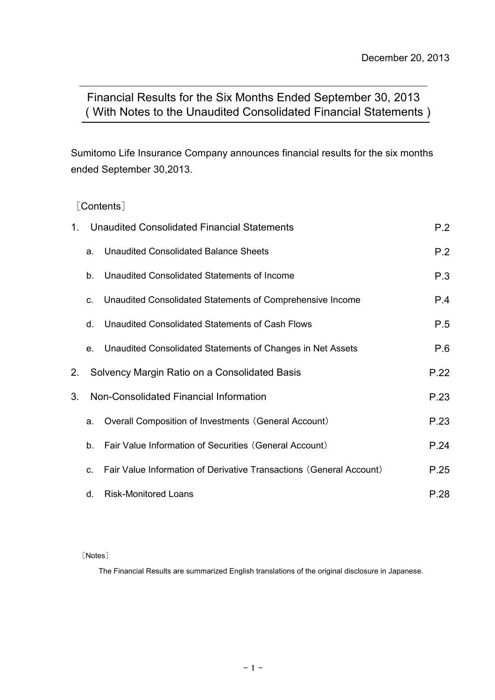# ( With Notes to the Unaudited Consolidated Financial Statements ) Financial Results for the Six Months Ended September 30, 2013

Sumitomo Life Insurance Company announces financial results for the six months ended September 30,2013.

### [Contents]

| 1. |    | Unaudited Consolidated Financial Statements                         | P.2  |
|----|----|---------------------------------------------------------------------|------|
|    | a. | Unaudited Consolidated Balance Sheets                               | P.2  |
|    | b. | Unaudited Consolidated Statements of Income                         | P.3  |
|    | C. | Unaudited Consolidated Statements of Comprehensive Income           | P.4  |
|    | d. | Unaudited Consolidated Statements of Cash Flows                     | P.5  |
|    | e. | Unaudited Consolidated Statements of Changes in Net Assets          | P.6  |
| 2. |    | Solvency Margin Ratio on a Consolidated Basis                       | P.22 |
| 3. |    | Non-Consolidated Financial Information                              | P.23 |
|    | a. | Overall Composition of Investments (General Account)                | P.23 |
|    | b. | Fair Value Information of Securities (General Account)              | P.24 |
|    | C. | Fair Value Information of Derivative Transactions (General Account) | P.25 |
|    | d. | <b>Risk-Monitored Loans</b>                                         | P.28 |

[Notes]

The Financial Results are summarized English translations of the original disclosure in Japanese.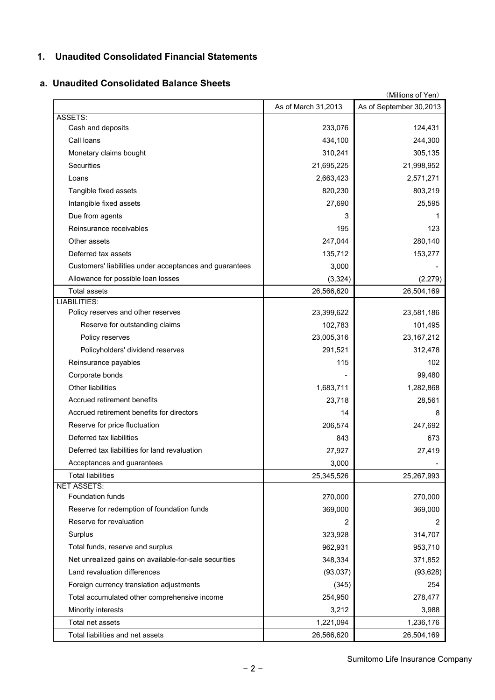## **1. Unaudited Consolidated Financial Statements**

#### **a. Unaudited Consolidated Balance Sheets**

| (Millions of Yen)                                       |                     |                         |
|---------------------------------------------------------|---------------------|-------------------------|
|                                                         | As of March 31,2013 | As of September 30,2013 |
| ASSETS:                                                 |                     |                         |
| Cash and deposits                                       | 233,076             | 124,431                 |
| Call Ioans                                              | 434,100             | 244,300                 |
| Monetary claims bought                                  | 310,241             | 305,135                 |
| Securities                                              | 21,695,225          | 21,998,952              |
| Loans                                                   | 2,663,423           | 2,571,271               |
| Tangible fixed assets                                   | 820,230             | 803,219                 |
| Intangible fixed assets                                 | 27,690              | 25,595                  |
| Due from agents                                         | 3                   | 1                       |
| Reinsurance receivables                                 | 195                 | 123                     |
| Other assets                                            | 247,044             | 280,140                 |
| Deferred tax assets                                     | 135,712             | 153,277                 |
| Customers' liabilities under acceptances and guarantees | 3,000               |                         |
| Allowance for possible loan losses                      | (3, 324)            | (2, 279)                |
| <b>Total assets</b>                                     | 26,566,620          | 26,504,169              |
| <b>LIABILITIES:</b>                                     |                     |                         |
| Policy reserves and other reserves                      | 23,399,622          | 23,581,186              |
| Reserve for outstanding claims                          | 102,783             | 101,495                 |
| Policy reserves                                         | 23,005,316          | 23, 167, 212            |
| Policyholders' dividend reserves                        | 291,521             | 312,478                 |
| Reinsurance payables                                    | 115                 | 102                     |
| Corporate bonds                                         |                     | 99,480                  |
| Other liabilities                                       | 1,683,711           | 1,282,868               |
| Accrued retirement benefits                             | 23,718              | 28,561                  |
| Accrued retirement benefits for directors               | 14                  | 8                       |
| Reserve for price fluctuation                           | 206,574             | 247,692                 |
| Deferred tax liabilities                                | 843                 | 673                     |
| Deferred tax liabilities for land revaluation           | 27,927              | 27,419                  |
| Acceptances and guarantees                              | 3,000               |                         |
| <b>Total liabilities</b>                                | 25,345,526          | 25,267,993              |
| <b>NET ASSETS:</b>                                      |                     |                         |
| <b>Foundation funds</b>                                 | 270,000             | 270,000                 |
| Reserve for redemption of foundation funds              | 369,000             | 369,000                 |
| Reserve for revaluation                                 | 2                   | 2                       |
| Surplus                                                 | 323,928             | 314,707                 |
| Total funds, reserve and surplus                        | 962,931             | 953,710                 |
| Net unrealized gains on available-for-sale securities   | 348,334             | 371,852                 |
| Land revaluation differences                            | (93,037)            | (93, 628)               |
| Foreign currency translation adjustments                | (345)               | 254                     |
| Total accumulated other comprehensive income            | 254,950             | 278,477                 |
| Minority interests                                      | 3,212               | 3,988                   |
| Total net assets                                        | 1,221,094           | 1,236,176               |
| Total liabilities and net assets                        | 26,566,620          | 26,504,169              |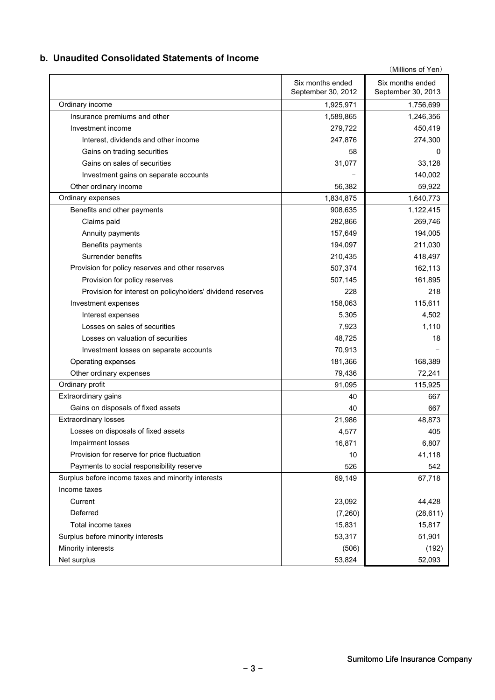### **b. Unaudited Consolidated Statements of Income**

|                                                            | Six months ended   | (Millions of Yen)<br>Six months ended |
|------------------------------------------------------------|--------------------|---------------------------------------|
|                                                            | September 30, 2012 | September 30, 2013                    |
| Ordinary income                                            | 1,925,971          | 1,756,699                             |
| Insurance premiums and other                               | 1,589,865          | 1,246,356                             |
| Investment income                                          | 279,722            | 450,419                               |
| Interest, dividends and other income                       | 247,876            | 274,300                               |
| Gains on trading securities                                | 58                 | 0                                     |
| Gains on sales of securities                               | 31,077             | 33,128                                |
| Investment gains on separate accounts                      |                    | 140,002                               |
| Other ordinary income                                      | 56,382             | 59,922                                |
| Ordinary expenses                                          | 1,834,875          | 1,640,773                             |
| Benefits and other payments                                | 908,635            | 1,122,415                             |
| Claims paid                                                | 282,866            | 269,746                               |
| Annuity payments                                           | 157,649            | 194,005                               |
| Benefits payments                                          | 194,097            | 211,030                               |
| Surrender benefits                                         | 210,435            | 418,497                               |
| Provision for policy reserves and other reserves           | 507,374            | 162,113                               |
| Provision for policy reserves                              | 507,145            | 161,895                               |
| Provision for interest on policyholders' dividend reserves | 228                | 218                                   |
| Investment expenses                                        | 158,063            | 115,611                               |
| Interest expenses                                          | 5,305              | 4,502                                 |
| Losses on sales of securities                              | 7,923              | 1,110                                 |
| Losses on valuation of securities                          | 48,725             | 18                                    |
| Investment losses on separate accounts                     | 70,913             |                                       |
| Operating expenses                                         | 181,366            | 168,389                               |
| Other ordinary expenses                                    | 79,436             | 72,241                                |
| Ordinary profit                                            | 91,095             | 115,925                               |
| Extraordinary gains                                        | 40                 | 667                                   |
| Gains on disposals of fixed assets                         | 40                 | 667                                   |
| <b>Extraordinary losses</b>                                | 21,986             | 48,873                                |
| Losses on disposals of fixed assets                        | 4,577              | 405                                   |
| Impairment losses                                          | 16,871             | 6,807                                 |
| Provision for reserve for price fluctuation                | 10                 | 41,118                                |
| Payments to social responsibility reserve                  | 526                | 542                                   |
| Surplus before income taxes and minority interests         | 69,149             | 67,718                                |
| Income taxes                                               |                    |                                       |
| Current                                                    | 23,092             | 44,428                                |
| Deferred                                                   | (7,260)            | (28, 611)                             |
| Total income taxes                                         | 15,831             | 15,817                                |
| Surplus before minority interests                          | 53,317             | 51,901                                |
| Minority interests                                         | (506)              | (192)                                 |
| Net surplus                                                | 53,824             | 52,093                                |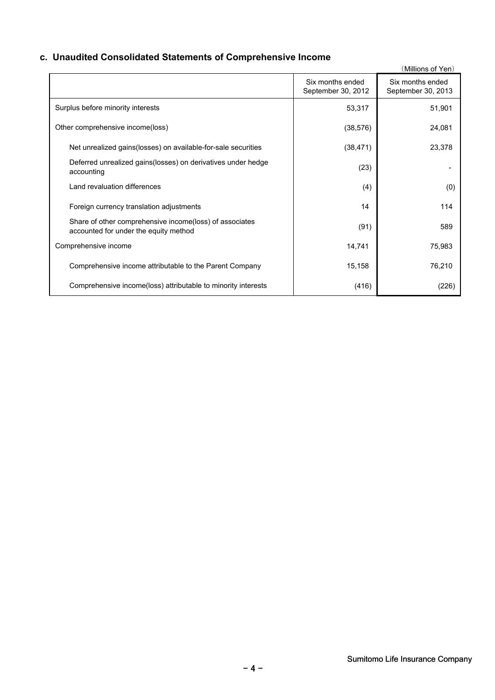# **c. Unaudited Consolidated Statements of Comprehensive Income**

|                                                                                                   |                                        | (Millions of Yen)                      |
|---------------------------------------------------------------------------------------------------|----------------------------------------|----------------------------------------|
|                                                                                                   | Six months ended<br>September 30, 2012 | Six months ended<br>September 30, 2013 |
| Surplus before minority interests                                                                 | 53,317                                 | 51,901                                 |
| Other comprehensive income(loss)                                                                  | (38, 576)                              | 24,081                                 |
| Net unrealized gains (losses) on available-for-sale securities                                    | (38, 471)                              | 23,378                                 |
| Deferred unrealized gains (losses) on derivatives under hedge<br>accounting                       | (23)                                   |                                        |
| Land revaluation differences                                                                      | (4)                                    | (0)                                    |
| Foreign currency translation adjustments                                                          | 14                                     | 114                                    |
| Share of other comprehensive income (loss) of associates<br>accounted for under the equity method | (91)                                   | 589                                    |
| Comprehensive income                                                                              | 14,741                                 | 75,983                                 |
| Comprehensive income attributable to the Parent Company                                           | 15,158                                 | 76,210                                 |
| Comprehensive income (loss) attributable to minority interests                                    | (416)                                  | (226)                                  |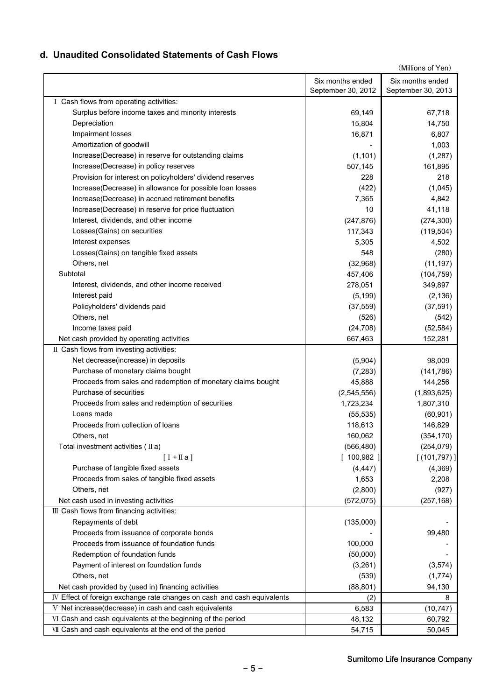### **d. Unaudited Consolidated Statements of Cash Flows**

| Six months ended<br>Six months ended<br>September 30, 2012<br>September 30, 2013<br>I Cash flows from operating activities:<br>Surplus before income taxes and minority interests<br>69,149<br>67,718<br>Depreciation<br>15,804<br>14,750<br>Impairment losses<br>16,871<br>6,807<br>Amortization of goodwill<br>1,003<br>Increase(Decrease) in reserve for outstanding claims<br>(1, 101)<br>(1, 287)<br>Increase(Decrease) in policy reserves<br>507,145<br>161,895<br>Provision for interest on policyholders' dividend reserves<br>218<br>228<br>Increase(Decrease) in allowance for possible loan losses<br>(422)<br>(1,045)<br>Increase(Decrease) in accrued retirement benefits<br>7,365<br>4,842<br>Increase(Decrease) in reserve for price fluctuation<br>10<br>41,118<br>Interest, dividends, and other income<br>(247, 876)<br>(274, 300)<br>Losses (Gains) on securities<br>117,343<br>(119, 504)<br>Interest expenses<br>5,305<br>4,502<br>Losses(Gains) on tangible fixed assets<br>548<br>(280)<br>Others, net<br>(32,968)<br>(11, 197)<br>Subtotal<br>457,406<br>(104, 759)<br>349,897<br>Interest, dividends, and other income received<br>278,051<br>(2, 136)<br>Interest paid<br>(5, 199)<br>Policyholders' dividends paid<br>(37, 559)<br>(37, 591)<br>Others, net<br>(526)<br>(542)<br>Income taxes paid<br>(24, 708)<br>(52, 584)<br>152,281<br>Net cash provided by operating activities<br>667,463<br>II Cash flows from investing activities:<br>Net decrease(increase) in deposits<br>(5,904)<br>98,009<br>Purchase of monetary claims bought<br>(7, 283)<br>(141, 786)<br>Proceeds from sales and redemption of monetary claims bought<br>45,888<br>144,256<br>Purchase of securities<br>(2,545,556)<br>(1,893,625)<br>Proceeds from sales and redemption of securities<br>1,723,234<br>1,807,310<br>Loans made<br>(55, 535)<br>(60, 901)<br>Proceeds from collection of loans<br>118,613<br>146,829<br>160,062<br>(354, 170)<br>Others, net<br>(566, 480)<br>Total investment activities $(IIa)$<br>(254, 079)<br>[100,982]<br>[(101, 797)]<br>$[I + \Pi a]$<br>Purchase of tangible fixed assets<br>(4, 447)<br>(4,369)<br>Proceeds from sales of tangible fixed assets<br>2,208<br>1,653<br>Others, net<br>(2,800)<br>(927)<br>(257, 168)<br>Net cash used in investing activities<br>(572, 075)<br>III Cash flows from financing activities:<br>Repayments of debt<br>(135,000)<br>Proceeds from issuance of corporate bonds<br>99,480<br>Proceeds from issuance of foundation funds<br>100,000<br>Redemption of foundation funds<br>(50,000)<br>(3,261)<br>Payment of interest on foundation funds<br>(3, 574)<br>Others, net<br>(539)<br>(1,774)<br>Net cash provided by (used in) financing activities<br>(88, 801)<br>94,130<br>IV Effect of foreign exchange rate changes on cash and cash equivalents<br>(2)<br>8<br>V Net increase(decrease) in cash and cash equivalents<br>6,583<br>(10, 747)<br>VI Cash and cash equivalents at the beginning of the period<br>48,132<br>60,792<br>VII Cash and cash equivalents at the end of the period<br>54,715<br>50,045 |  | (Millions of Yen) |
|--------------------------------------------------------------------------------------------------------------------------------------------------------------------------------------------------------------------------------------------------------------------------------------------------------------------------------------------------------------------------------------------------------------------------------------------------------------------------------------------------------------------------------------------------------------------------------------------------------------------------------------------------------------------------------------------------------------------------------------------------------------------------------------------------------------------------------------------------------------------------------------------------------------------------------------------------------------------------------------------------------------------------------------------------------------------------------------------------------------------------------------------------------------------------------------------------------------------------------------------------------------------------------------------------------------------------------------------------------------------------------------------------------------------------------------------------------------------------------------------------------------------------------------------------------------------------------------------------------------------------------------------------------------------------------------------------------------------------------------------------------------------------------------------------------------------------------------------------------------------------------------------------------------------------------------------------------------------------------------------------------------------------------------------------------------------------------------------------------------------------------------------------------------------------------------------------------------------------------------------------------------------------------------------------------------------------------------------------------------------------------------------------------------------------------------------------------------------------------------------------------------------------------------------------------------------------------------------------------------------------------------------------------------------------------------------------------------------------------------------------------------------------------------------------------------------------------------------------------------------------------------------------------------------------------------------------------------------------------------------------------------------------------------------------------------------------------------------------------|--|-------------------|
|                                                                                                                                                                                                                                                                                                                                                                                                                                                                                                                                                                                                                                                                                                                                                                                                                                                                                                                                                                                                                                                                                                                                                                                                                                                                                                                                                                                                                                                                                                                                                                                                                                                                                                                                                                                                                                                                                                                                                                                                                                                                                                                                                                                                                                                                                                                                                                                                                                                                                                                                                                                                                                                                                                                                                                                                                                                                                                                                                                                                                                                                                                        |  |                   |
|                                                                                                                                                                                                                                                                                                                                                                                                                                                                                                                                                                                                                                                                                                                                                                                                                                                                                                                                                                                                                                                                                                                                                                                                                                                                                                                                                                                                                                                                                                                                                                                                                                                                                                                                                                                                                                                                                                                                                                                                                                                                                                                                                                                                                                                                                                                                                                                                                                                                                                                                                                                                                                                                                                                                                                                                                                                                                                                                                                                                                                                                                                        |  |                   |
|                                                                                                                                                                                                                                                                                                                                                                                                                                                                                                                                                                                                                                                                                                                                                                                                                                                                                                                                                                                                                                                                                                                                                                                                                                                                                                                                                                                                                                                                                                                                                                                                                                                                                                                                                                                                                                                                                                                                                                                                                                                                                                                                                                                                                                                                                                                                                                                                                                                                                                                                                                                                                                                                                                                                                                                                                                                                                                                                                                                                                                                                                                        |  |                   |
|                                                                                                                                                                                                                                                                                                                                                                                                                                                                                                                                                                                                                                                                                                                                                                                                                                                                                                                                                                                                                                                                                                                                                                                                                                                                                                                                                                                                                                                                                                                                                                                                                                                                                                                                                                                                                                                                                                                                                                                                                                                                                                                                                                                                                                                                                                                                                                                                                                                                                                                                                                                                                                                                                                                                                                                                                                                                                                                                                                                                                                                                                                        |  |                   |
|                                                                                                                                                                                                                                                                                                                                                                                                                                                                                                                                                                                                                                                                                                                                                                                                                                                                                                                                                                                                                                                                                                                                                                                                                                                                                                                                                                                                                                                                                                                                                                                                                                                                                                                                                                                                                                                                                                                                                                                                                                                                                                                                                                                                                                                                                                                                                                                                                                                                                                                                                                                                                                                                                                                                                                                                                                                                                                                                                                                                                                                                                                        |  |                   |
|                                                                                                                                                                                                                                                                                                                                                                                                                                                                                                                                                                                                                                                                                                                                                                                                                                                                                                                                                                                                                                                                                                                                                                                                                                                                                                                                                                                                                                                                                                                                                                                                                                                                                                                                                                                                                                                                                                                                                                                                                                                                                                                                                                                                                                                                                                                                                                                                                                                                                                                                                                                                                                                                                                                                                                                                                                                                                                                                                                                                                                                                                                        |  |                   |
|                                                                                                                                                                                                                                                                                                                                                                                                                                                                                                                                                                                                                                                                                                                                                                                                                                                                                                                                                                                                                                                                                                                                                                                                                                                                                                                                                                                                                                                                                                                                                                                                                                                                                                                                                                                                                                                                                                                                                                                                                                                                                                                                                                                                                                                                                                                                                                                                                                                                                                                                                                                                                                                                                                                                                                                                                                                                                                                                                                                                                                                                                                        |  |                   |
|                                                                                                                                                                                                                                                                                                                                                                                                                                                                                                                                                                                                                                                                                                                                                                                                                                                                                                                                                                                                                                                                                                                                                                                                                                                                                                                                                                                                                                                                                                                                                                                                                                                                                                                                                                                                                                                                                                                                                                                                                                                                                                                                                                                                                                                                                                                                                                                                                                                                                                                                                                                                                                                                                                                                                                                                                                                                                                                                                                                                                                                                                                        |  |                   |
|                                                                                                                                                                                                                                                                                                                                                                                                                                                                                                                                                                                                                                                                                                                                                                                                                                                                                                                                                                                                                                                                                                                                                                                                                                                                                                                                                                                                                                                                                                                                                                                                                                                                                                                                                                                                                                                                                                                                                                                                                                                                                                                                                                                                                                                                                                                                                                                                                                                                                                                                                                                                                                                                                                                                                                                                                                                                                                                                                                                                                                                                                                        |  |                   |
|                                                                                                                                                                                                                                                                                                                                                                                                                                                                                                                                                                                                                                                                                                                                                                                                                                                                                                                                                                                                                                                                                                                                                                                                                                                                                                                                                                                                                                                                                                                                                                                                                                                                                                                                                                                                                                                                                                                                                                                                                                                                                                                                                                                                                                                                                                                                                                                                                                                                                                                                                                                                                                                                                                                                                                                                                                                                                                                                                                                                                                                                                                        |  |                   |
|                                                                                                                                                                                                                                                                                                                                                                                                                                                                                                                                                                                                                                                                                                                                                                                                                                                                                                                                                                                                                                                                                                                                                                                                                                                                                                                                                                                                                                                                                                                                                                                                                                                                                                                                                                                                                                                                                                                                                                                                                                                                                                                                                                                                                                                                                                                                                                                                                                                                                                                                                                                                                                                                                                                                                                                                                                                                                                                                                                                                                                                                                                        |  |                   |
|                                                                                                                                                                                                                                                                                                                                                                                                                                                                                                                                                                                                                                                                                                                                                                                                                                                                                                                                                                                                                                                                                                                                                                                                                                                                                                                                                                                                                                                                                                                                                                                                                                                                                                                                                                                                                                                                                                                                                                                                                                                                                                                                                                                                                                                                                                                                                                                                                                                                                                                                                                                                                                                                                                                                                                                                                                                                                                                                                                                                                                                                                                        |  |                   |
|                                                                                                                                                                                                                                                                                                                                                                                                                                                                                                                                                                                                                                                                                                                                                                                                                                                                                                                                                                                                                                                                                                                                                                                                                                                                                                                                                                                                                                                                                                                                                                                                                                                                                                                                                                                                                                                                                                                                                                                                                                                                                                                                                                                                                                                                                                                                                                                                                                                                                                                                                                                                                                                                                                                                                                                                                                                                                                                                                                                                                                                                                                        |  |                   |
|                                                                                                                                                                                                                                                                                                                                                                                                                                                                                                                                                                                                                                                                                                                                                                                                                                                                                                                                                                                                                                                                                                                                                                                                                                                                                                                                                                                                                                                                                                                                                                                                                                                                                                                                                                                                                                                                                                                                                                                                                                                                                                                                                                                                                                                                                                                                                                                                                                                                                                                                                                                                                                                                                                                                                                                                                                                                                                                                                                                                                                                                                                        |  |                   |
|                                                                                                                                                                                                                                                                                                                                                                                                                                                                                                                                                                                                                                                                                                                                                                                                                                                                                                                                                                                                                                                                                                                                                                                                                                                                                                                                                                                                                                                                                                                                                                                                                                                                                                                                                                                                                                                                                                                                                                                                                                                                                                                                                                                                                                                                                                                                                                                                                                                                                                                                                                                                                                                                                                                                                                                                                                                                                                                                                                                                                                                                                                        |  |                   |
|                                                                                                                                                                                                                                                                                                                                                                                                                                                                                                                                                                                                                                                                                                                                                                                                                                                                                                                                                                                                                                                                                                                                                                                                                                                                                                                                                                                                                                                                                                                                                                                                                                                                                                                                                                                                                                                                                                                                                                                                                                                                                                                                                                                                                                                                                                                                                                                                                                                                                                                                                                                                                                                                                                                                                                                                                                                                                                                                                                                                                                                                                                        |  |                   |
|                                                                                                                                                                                                                                                                                                                                                                                                                                                                                                                                                                                                                                                                                                                                                                                                                                                                                                                                                                                                                                                                                                                                                                                                                                                                                                                                                                                                                                                                                                                                                                                                                                                                                                                                                                                                                                                                                                                                                                                                                                                                                                                                                                                                                                                                                                                                                                                                                                                                                                                                                                                                                                                                                                                                                                                                                                                                                                                                                                                                                                                                                                        |  |                   |
|                                                                                                                                                                                                                                                                                                                                                                                                                                                                                                                                                                                                                                                                                                                                                                                                                                                                                                                                                                                                                                                                                                                                                                                                                                                                                                                                                                                                                                                                                                                                                                                                                                                                                                                                                                                                                                                                                                                                                                                                                                                                                                                                                                                                                                                                                                                                                                                                                                                                                                                                                                                                                                                                                                                                                                                                                                                                                                                                                                                                                                                                                                        |  |                   |
|                                                                                                                                                                                                                                                                                                                                                                                                                                                                                                                                                                                                                                                                                                                                                                                                                                                                                                                                                                                                                                                                                                                                                                                                                                                                                                                                                                                                                                                                                                                                                                                                                                                                                                                                                                                                                                                                                                                                                                                                                                                                                                                                                                                                                                                                                                                                                                                                                                                                                                                                                                                                                                                                                                                                                                                                                                                                                                                                                                                                                                                                                                        |  |                   |
|                                                                                                                                                                                                                                                                                                                                                                                                                                                                                                                                                                                                                                                                                                                                                                                                                                                                                                                                                                                                                                                                                                                                                                                                                                                                                                                                                                                                                                                                                                                                                                                                                                                                                                                                                                                                                                                                                                                                                                                                                                                                                                                                                                                                                                                                                                                                                                                                                                                                                                                                                                                                                                                                                                                                                                                                                                                                                                                                                                                                                                                                                                        |  |                   |
|                                                                                                                                                                                                                                                                                                                                                                                                                                                                                                                                                                                                                                                                                                                                                                                                                                                                                                                                                                                                                                                                                                                                                                                                                                                                                                                                                                                                                                                                                                                                                                                                                                                                                                                                                                                                                                                                                                                                                                                                                                                                                                                                                                                                                                                                                                                                                                                                                                                                                                                                                                                                                                                                                                                                                                                                                                                                                                                                                                                                                                                                                                        |  |                   |
|                                                                                                                                                                                                                                                                                                                                                                                                                                                                                                                                                                                                                                                                                                                                                                                                                                                                                                                                                                                                                                                                                                                                                                                                                                                                                                                                                                                                                                                                                                                                                                                                                                                                                                                                                                                                                                                                                                                                                                                                                                                                                                                                                                                                                                                                                                                                                                                                                                                                                                                                                                                                                                                                                                                                                                                                                                                                                                                                                                                                                                                                                                        |  |                   |
|                                                                                                                                                                                                                                                                                                                                                                                                                                                                                                                                                                                                                                                                                                                                                                                                                                                                                                                                                                                                                                                                                                                                                                                                                                                                                                                                                                                                                                                                                                                                                                                                                                                                                                                                                                                                                                                                                                                                                                                                                                                                                                                                                                                                                                                                                                                                                                                                                                                                                                                                                                                                                                                                                                                                                                                                                                                                                                                                                                                                                                                                                                        |  |                   |
|                                                                                                                                                                                                                                                                                                                                                                                                                                                                                                                                                                                                                                                                                                                                                                                                                                                                                                                                                                                                                                                                                                                                                                                                                                                                                                                                                                                                                                                                                                                                                                                                                                                                                                                                                                                                                                                                                                                                                                                                                                                                                                                                                                                                                                                                                                                                                                                                                                                                                                                                                                                                                                                                                                                                                                                                                                                                                                                                                                                                                                                                                                        |  |                   |
|                                                                                                                                                                                                                                                                                                                                                                                                                                                                                                                                                                                                                                                                                                                                                                                                                                                                                                                                                                                                                                                                                                                                                                                                                                                                                                                                                                                                                                                                                                                                                                                                                                                                                                                                                                                                                                                                                                                                                                                                                                                                                                                                                                                                                                                                                                                                                                                                                                                                                                                                                                                                                                                                                                                                                                                                                                                                                                                                                                                                                                                                                                        |  |                   |
|                                                                                                                                                                                                                                                                                                                                                                                                                                                                                                                                                                                                                                                                                                                                                                                                                                                                                                                                                                                                                                                                                                                                                                                                                                                                                                                                                                                                                                                                                                                                                                                                                                                                                                                                                                                                                                                                                                                                                                                                                                                                                                                                                                                                                                                                                                                                                                                                                                                                                                                                                                                                                                                                                                                                                                                                                                                                                                                                                                                                                                                                                                        |  |                   |
|                                                                                                                                                                                                                                                                                                                                                                                                                                                                                                                                                                                                                                                                                                                                                                                                                                                                                                                                                                                                                                                                                                                                                                                                                                                                                                                                                                                                                                                                                                                                                                                                                                                                                                                                                                                                                                                                                                                                                                                                                                                                                                                                                                                                                                                                                                                                                                                                                                                                                                                                                                                                                                                                                                                                                                                                                                                                                                                                                                                                                                                                                                        |  |                   |
|                                                                                                                                                                                                                                                                                                                                                                                                                                                                                                                                                                                                                                                                                                                                                                                                                                                                                                                                                                                                                                                                                                                                                                                                                                                                                                                                                                                                                                                                                                                                                                                                                                                                                                                                                                                                                                                                                                                                                                                                                                                                                                                                                                                                                                                                                                                                                                                                                                                                                                                                                                                                                                                                                                                                                                                                                                                                                                                                                                                                                                                                                                        |  |                   |
|                                                                                                                                                                                                                                                                                                                                                                                                                                                                                                                                                                                                                                                                                                                                                                                                                                                                                                                                                                                                                                                                                                                                                                                                                                                                                                                                                                                                                                                                                                                                                                                                                                                                                                                                                                                                                                                                                                                                                                                                                                                                                                                                                                                                                                                                                                                                                                                                                                                                                                                                                                                                                                                                                                                                                                                                                                                                                                                                                                                                                                                                                                        |  |                   |
|                                                                                                                                                                                                                                                                                                                                                                                                                                                                                                                                                                                                                                                                                                                                                                                                                                                                                                                                                                                                                                                                                                                                                                                                                                                                                                                                                                                                                                                                                                                                                                                                                                                                                                                                                                                                                                                                                                                                                                                                                                                                                                                                                                                                                                                                                                                                                                                                                                                                                                                                                                                                                                                                                                                                                                                                                                                                                                                                                                                                                                                                                                        |  |                   |
|                                                                                                                                                                                                                                                                                                                                                                                                                                                                                                                                                                                                                                                                                                                                                                                                                                                                                                                                                                                                                                                                                                                                                                                                                                                                                                                                                                                                                                                                                                                                                                                                                                                                                                                                                                                                                                                                                                                                                                                                                                                                                                                                                                                                                                                                                                                                                                                                                                                                                                                                                                                                                                                                                                                                                                                                                                                                                                                                                                                                                                                                                                        |  |                   |
|                                                                                                                                                                                                                                                                                                                                                                                                                                                                                                                                                                                                                                                                                                                                                                                                                                                                                                                                                                                                                                                                                                                                                                                                                                                                                                                                                                                                                                                                                                                                                                                                                                                                                                                                                                                                                                                                                                                                                                                                                                                                                                                                                                                                                                                                                                                                                                                                                                                                                                                                                                                                                                                                                                                                                                                                                                                                                                                                                                                                                                                                                                        |  |                   |
|                                                                                                                                                                                                                                                                                                                                                                                                                                                                                                                                                                                                                                                                                                                                                                                                                                                                                                                                                                                                                                                                                                                                                                                                                                                                                                                                                                                                                                                                                                                                                                                                                                                                                                                                                                                                                                                                                                                                                                                                                                                                                                                                                                                                                                                                                                                                                                                                                                                                                                                                                                                                                                                                                                                                                                                                                                                                                                                                                                                                                                                                                                        |  |                   |
|                                                                                                                                                                                                                                                                                                                                                                                                                                                                                                                                                                                                                                                                                                                                                                                                                                                                                                                                                                                                                                                                                                                                                                                                                                                                                                                                                                                                                                                                                                                                                                                                                                                                                                                                                                                                                                                                                                                                                                                                                                                                                                                                                                                                                                                                                                                                                                                                                                                                                                                                                                                                                                                                                                                                                                                                                                                                                                                                                                                                                                                                                                        |  |                   |
|                                                                                                                                                                                                                                                                                                                                                                                                                                                                                                                                                                                                                                                                                                                                                                                                                                                                                                                                                                                                                                                                                                                                                                                                                                                                                                                                                                                                                                                                                                                                                                                                                                                                                                                                                                                                                                                                                                                                                                                                                                                                                                                                                                                                                                                                                                                                                                                                                                                                                                                                                                                                                                                                                                                                                                                                                                                                                                                                                                                                                                                                                                        |  |                   |
|                                                                                                                                                                                                                                                                                                                                                                                                                                                                                                                                                                                                                                                                                                                                                                                                                                                                                                                                                                                                                                                                                                                                                                                                                                                                                                                                                                                                                                                                                                                                                                                                                                                                                                                                                                                                                                                                                                                                                                                                                                                                                                                                                                                                                                                                                                                                                                                                                                                                                                                                                                                                                                                                                                                                                                                                                                                                                                                                                                                                                                                                                                        |  |                   |
|                                                                                                                                                                                                                                                                                                                                                                                                                                                                                                                                                                                                                                                                                                                                                                                                                                                                                                                                                                                                                                                                                                                                                                                                                                                                                                                                                                                                                                                                                                                                                                                                                                                                                                                                                                                                                                                                                                                                                                                                                                                                                                                                                                                                                                                                                                                                                                                                                                                                                                                                                                                                                                                                                                                                                                                                                                                                                                                                                                                                                                                                                                        |  |                   |
|                                                                                                                                                                                                                                                                                                                                                                                                                                                                                                                                                                                                                                                                                                                                                                                                                                                                                                                                                                                                                                                                                                                                                                                                                                                                                                                                                                                                                                                                                                                                                                                                                                                                                                                                                                                                                                                                                                                                                                                                                                                                                                                                                                                                                                                                                                                                                                                                                                                                                                                                                                                                                                                                                                                                                                                                                                                                                                                                                                                                                                                                                                        |  |                   |
|                                                                                                                                                                                                                                                                                                                                                                                                                                                                                                                                                                                                                                                                                                                                                                                                                                                                                                                                                                                                                                                                                                                                                                                                                                                                                                                                                                                                                                                                                                                                                                                                                                                                                                                                                                                                                                                                                                                                                                                                                                                                                                                                                                                                                                                                                                                                                                                                                                                                                                                                                                                                                                                                                                                                                                                                                                                                                                                                                                                                                                                                                                        |  |                   |
|                                                                                                                                                                                                                                                                                                                                                                                                                                                                                                                                                                                                                                                                                                                                                                                                                                                                                                                                                                                                                                                                                                                                                                                                                                                                                                                                                                                                                                                                                                                                                                                                                                                                                                                                                                                                                                                                                                                                                                                                                                                                                                                                                                                                                                                                                                                                                                                                                                                                                                                                                                                                                                                                                                                                                                                                                                                                                                                                                                                                                                                                                                        |  |                   |
|                                                                                                                                                                                                                                                                                                                                                                                                                                                                                                                                                                                                                                                                                                                                                                                                                                                                                                                                                                                                                                                                                                                                                                                                                                                                                                                                                                                                                                                                                                                                                                                                                                                                                                                                                                                                                                                                                                                                                                                                                                                                                                                                                                                                                                                                                                                                                                                                                                                                                                                                                                                                                                                                                                                                                                                                                                                                                                                                                                                                                                                                                                        |  |                   |
|                                                                                                                                                                                                                                                                                                                                                                                                                                                                                                                                                                                                                                                                                                                                                                                                                                                                                                                                                                                                                                                                                                                                                                                                                                                                                                                                                                                                                                                                                                                                                                                                                                                                                                                                                                                                                                                                                                                                                                                                                                                                                                                                                                                                                                                                                                                                                                                                                                                                                                                                                                                                                                                                                                                                                                                                                                                                                                                                                                                                                                                                                                        |  |                   |
|                                                                                                                                                                                                                                                                                                                                                                                                                                                                                                                                                                                                                                                                                                                                                                                                                                                                                                                                                                                                                                                                                                                                                                                                                                                                                                                                                                                                                                                                                                                                                                                                                                                                                                                                                                                                                                                                                                                                                                                                                                                                                                                                                                                                                                                                                                                                                                                                                                                                                                                                                                                                                                                                                                                                                                                                                                                                                                                                                                                                                                                                                                        |  |                   |
|                                                                                                                                                                                                                                                                                                                                                                                                                                                                                                                                                                                                                                                                                                                                                                                                                                                                                                                                                                                                                                                                                                                                                                                                                                                                                                                                                                                                                                                                                                                                                                                                                                                                                                                                                                                                                                                                                                                                                                                                                                                                                                                                                                                                                                                                                                                                                                                                                                                                                                                                                                                                                                                                                                                                                                                                                                                                                                                                                                                                                                                                                                        |  |                   |
|                                                                                                                                                                                                                                                                                                                                                                                                                                                                                                                                                                                                                                                                                                                                                                                                                                                                                                                                                                                                                                                                                                                                                                                                                                                                                                                                                                                                                                                                                                                                                                                                                                                                                                                                                                                                                                                                                                                                                                                                                                                                                                                                                                                                                                                                                                                                                                                                                                                                                                                                                                                                                                                                                                                                                                                                                                                                                                                                                                                                                                                                                                        |  |                   |
|                                                                                                                                                                                                                                                                                                                                                                                                                                                                                                                                                                                                                                                                                                                                                                                                                                                                                                                                                                                                                                                                                                                                                                                                                                                                                                                                                                                                                                                                                                                                                                                                                                                                                                                                                                                                                                                                                                                                                                                                                                                                                                                                                                                                                                                                                                                                                                                                                                                                                                                                                                                                                                                                                                                                                                                                                                                                                                                                                                                                                                                                                                        |  |                   |
|                                                                                                                                                                                                                                                                                                                                                                                                                                                                                                                                                                                                                                                                                                                                                                                                                                                                                                                                                                                                                                                                                                                                                                                                                                                                                                                                                                                                                                                                                                                                                                                                                                                                                                                                                                                                                                                                                                                                                                                                                                                                                                                                                                                                                                                                                                                                                                                                                                                                                                                                                                                                                                                                                                                                                                                                                                                                                                                                                                                                                                                                                                        |  |                   |
|                                                                                                                                                                                                                                                                                                                                                                                                                                                                                                                                                                                                                                                                                                                                                                                                                                                                                                                                                                                                                                                                                                                                                                                                                                                                                                                                                                                                                                                                                                                                                                                                                                                                                                                                                                                                                                                                                                                                                                                                                                                                                                                                                                                                                                                                                                                                                                                                                                                                                                                                                                                                                                                                                                                                                                                                                                                                                                                                                                                                                                                                                                        |  |                   |
|                                                                                                                                                                                                                                                                                                                                                                                                                                                                                                                                                                                                                                                                                                                                                                                                                                                                                                                                                                                                                                                                                                                                                                                                                                                                                                                                                                                                                                                                                                                                                                                                                                                                                                                                                                                                                                                                                                                                                                                                                                                                                                                                                                                                                                                                                                                                                                                                                                                                                                                                                                                                                                                                                                                                                                                                                                                                                                                                                                                                                                                                                                        |  |                   |
|                                                                                                                                                                                                                                                                                                                                                                                                                                                                                                                                                                                                                                                                                                                                                                                                                                                                                                                                                                                                                                                                                                                                                                                                                                                                                                                                                                                                                                                                                                                                                                                                                                                                                                                                                                                                                                                                                                                                                                                                                                                                                                                                                                                                                                                                                                                                                                                                                                                                                                                                                                                                                                                                                                                                                                                                                                                                                                                                                                                                                                                                                                        |  |                   |
|                                                                                                                                                                                                                                                                                                                                                                                                                                                                                                                                                                                                                                                                                                                                                                                                                                                                                                                                                                                                                                                                                                                                                                                                                                                                                                                                                                                                                                                                                                                                                                                                                                                                                                                                                                                                                                                                                                                                                                                                                                                                                                                                                                                                                                                                                                                                                                                                                                                                                                                                                                                                                                                                                                                                                                                                                                                                                                                                                                                                                                                                                                        |  |                   |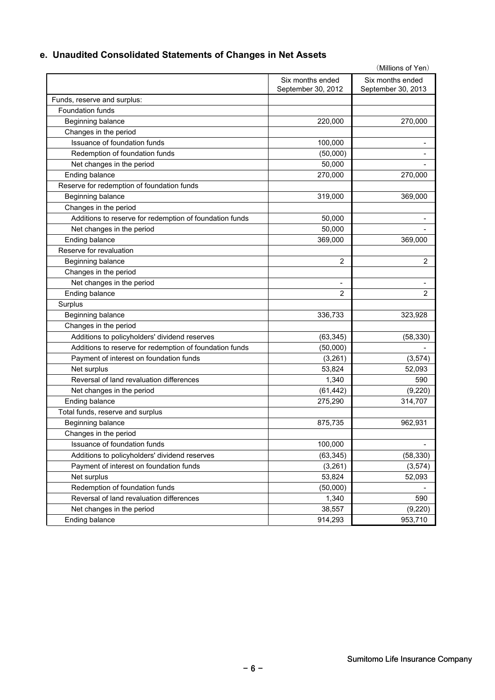# **e. Unaudited Consolidated Statements of Changes in Net Assets**

|                                                         |                    | (Millions of Yen)  |
|---------------------------------------------------------|--------------------|--------------------|
|                                                         | Six months ended   | Six months ended   |
|                                                         | September 30, 2012 | September 30, 2013 |
| Funds, reserve and surplus:                             |                    |                    |
| Foundation funds                                        |                    |                    |
| Beginning balance                                       | 220,000            | 270,000            |
| Changes in the period                                   |                    |                    |
| Issuance of foundation funds                            | 100,000            |                    |
| Redemption of foundation funds                          | (50,000)           |                    |
| Net changes in the period                               | 50,000             |                    |
| Ending balance                                          | 270,000            | 270,000            |
| Reserve for redemption of foundation funds              |                    |                    |
| Beginning balance                                       | 319,000            | 369,000            |
| Changes in the period                                   |                    |                    |
| Additions to reserve for redemption of foundation funds | 50,000             |                    |
| Net changes in the period                               | 50,000             |                    |
| Ending balance                                          | 369,000            | 369,000            |
| Reserve for revaluation                                 |                    |                    |
| Beginning balance                                       | $\overline{2}$     | $\overline{2}$     |
| Changes in the period                                   |                    |                    |
| Net changes in the period                               | $\blacksquare$     |                    |
| Ending balance                                          | 2                  | $\overline{2}$     |
| Surplus                                                 |                    |                    |
| Beginning balance                                       | 336,733            | 323,928            |
| Changes in the period                                   |                    |                    |
| Additions to policyholders' dividend reserves           | (63, 345)          | (58, 330)          |
| Additions to reserve for redemption of foundation funds | (50,000)           |                    |
| Payment of interest on foundation funds                 | (3,261)            | (3, 574)           |
| Net surplus                                             | 53,824             | 52,093             |
| Reversal of land revaluation differences                | 1,340              | 590                |
| Net changes in the period                               | (61, 442)          | (9,220)            |
| Ending balance                                          | 275,290            | 314,707            |
| Total funds, reserve and surplus                        |                    |                    |
| Beginning balance                                       | 875,735            | 962,931            |
| Changes in the period                                   |                    |                    |
| Issuance of foundation funds                            | 100,000            |                    |
| Additions to policyholders' dividend reserves           | (63, 345)          | (58, 330)          |
| Payment of interest on foundation funds                 | (3,261)            | (3, 574)           |
| Net surplus                                             | 53,824             | 52,093             |
| Redemption of foundation funds                          | (50,000)           |                    |
| Reversal of land revaluation differences                | 1,340              | 590                |
| Net changes in the period                               | 38,557             | (9, 220)           |
| Ending balance                                          | 914,293            | 953,710            |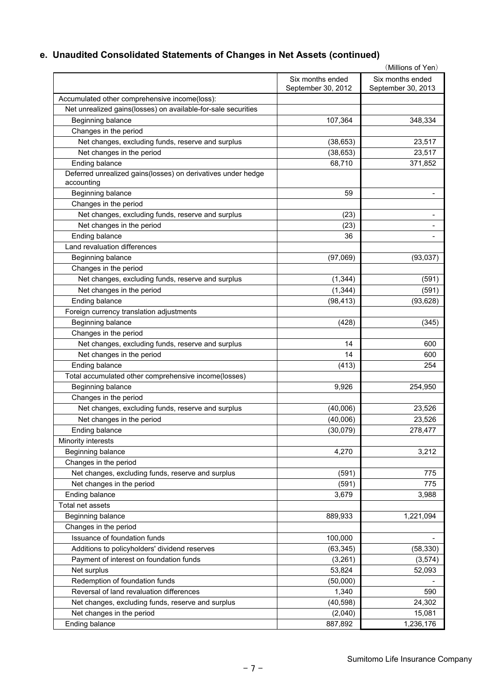# **e. Unaudited Consolidated Statements of Changes in Net Assets (continued)**

|                                                                            |                                        | (Millions of Yen)                      |
|----------------------------------------------------------------------------|----------------------------------------|----------------------------------------|
|                                                                            | Six months ended<br>September 30, 2012 | Six months ended<br>September 30, 2013 |
| Accumulated other comprehensive income(loss):                              |                                        |                                        |
| Net unrealized gains(losses) on available-for-sale securities              |                                        |                                        |
| Beginning balance                                                          | 107,364                                | 348,334                                |
| Changes in the period                                                      |                                        |                                        |
| Net changes, excluding funds, reserve and surplus                          | (38, 653)                              | 23,517                                 |
| Net changes in the period                                                  | (38, 653)                              | 23,517                                 |
| Ending balance                                                             | 68,710                                 | 371,852                                |
| Deferred unrealized gains(losses) on derivatives under hedge<br>accounting |                                        |                                        |
| Beginning balance                                                          | 59                                     |                                        |
| Changes in the period                                                      |                                        |                                        |
| Net changes, excluding funds, reserve and surplus                          | (23)                                   | -                                      |
| Net changes in the period                                                  | (23)                                   |                                        |
| Ending balance                                                             | 36                                     |                                        |
| Land revaluation differences                                               |                                        |                                        |
| Beginning balance                                                          | (97,069)                               | (93,037)                               |
| Changes in the period                                                      |                                        |                                        |
| Net changes, excluding funds, reserve and surplus                          | (1, 344)                               | (591)                                  |
| Net changes in the period                                                  | (1, 344)                               | (591)                                  |
| Ending balance                                                             | (98, 413)                              | (93, 628)                              |
| Foreign currency translation adjustments                                   |                                        |                                        |
| Beginning balance                                                          | (428)                                  | (345)                                  |
| Changes in the period                                                      |                                        |                                        |
| Net changes, excluding funds, reserve and surplus                          | 14                                     | 600                                    |
| Net changes in the period                                                  | 14                                     | 600                                    |
| Ending balance                                                             | (413)                                  | 254                                    |
| Total accumulated other comprehensive income(losses)                       |                                        |                                        |
| Beginning balance                                                          | 9,926                                  | 254,950                                |
| Changes in the period                                                      |                                        |                                        |
| Net changes, excluding funds, reserve and surplus                          | (40,006)                               | 23,526                                 |
| Net changes in the period                                                  | (40,006)                               | 23,526                                 |
| Ending balance                                                             | (30,079)                               | 278,477                                |
| Minority interests                                                         |                                        |                                        |
| Beginning balance                                                          | 4,270                                  | 3,212                                  |
| Changes in the period                                                      |                                        |                                        |
| Net changes, excluding funds, reserve and surplus                          | (591)                                  | 775                                    |
| Net changes in the period                                                  | (591)                                  | 775                                    |
| Ending balance                                                             | 3,679                                  | 3,988                                  |
| Total net assets                                                           |                                        |                                        |
|                                                                            |                                        |                                        |
| Beginning balance                                                          | 889,933                                | 1,221,094                              |
| Changes in the period                                                      |                                        |                                        |
| Issuance of foundation funds                                               | 100,000                                |                                        |
| Additions to policyholders' dividend reserves                              | (63, 345)                              | (58, 330)                              |
| Payment of interest on foundation funds                                    | (3,261)                                | (3,574)                                |
| Net surplus                                                                | 53,824                                 | 52,093                                 |
| Redemption of foundation funds                                             | (50,000)                               |                                        |
| Reversal of land revaluation differences                                   | 1,340                                  | 590                                    |
| Net changes, excluding funds, reserve and surplus                          | (40, 598)                              | 24,302                                 |
| Net changes in the period                                                  | (2,040)                                | 15,081                                 |
| Ending balance                                                             | 887,892                                | 1,236,176                              |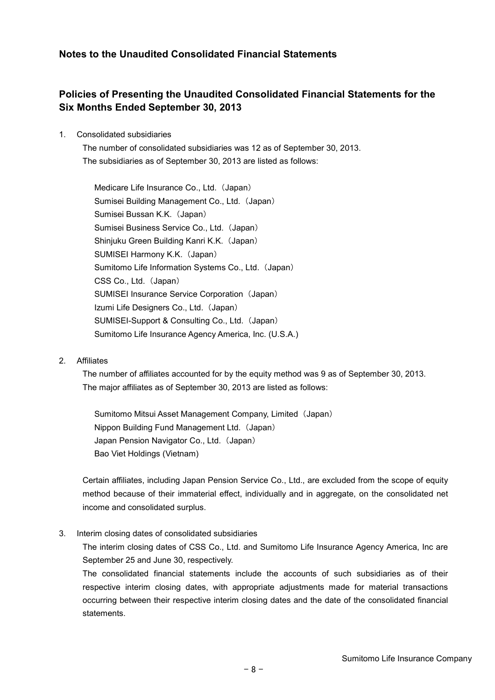### **Notes to the Unaudited Consolidated Financial Statements**

### **Policies of Presenting the Unaudited Consolidated Financial Statements for the Six Months Ended September 30, 2013**

#### 1. Consolidated subsidiaries

The number of consolidated subsidiaries was 12 as of September 30, 2013. The subsidiaries as of September 30, 2013 are listed as follows:

Medicare Life Insurance Co., Ltd. (Japan) Sumisei Building Management Co., Ltd. (Japan) Sumisei Bussan K.K. (Japan) Sumisei Business Service Co., Ltd. (Japan) Shinjuku Green Building Kanri K.K. (Japan) SUMISEI Harmony K.K. (Japan) Sumitomo Life Information Systems Co., Ltd. (Japan) CSS Co., Ltd. (Japan) SUMISEI Insurance Service Corporation (Japan) Izumi Life Designers Co., Ltd. (Japan) SUMISEI-Support & Consulting Co., Ltd. (Japan) Sumitomo Life Insurance Agency America, Inc. (U.S.A.)

#### 2. Affiliates

The number of affiliates accounted for by the equity method was 9 as of September 30, 2013. The major affiliates as of September 30, 2013 are listed as follows:

Sumitomo Mitsui Asset Management Company, Limited (Japan) Nippon Building Fund Management Ltd. (Japan) Japan Pension Navigator Co., Ltd. (Japan) Bao Viet Holdings (Vietnam)

Certain affiliates, including Japan Pension Service Co., Ltd., are excluded from the scope of equity method because of their immaterial effect, individually and in aggregate, on the consolidated net income and consolidated surplus.

3. Interim closing dates of consolidated subsidiaries

The interim closing dates of CSS Co., Ltd. and Sumitomo Life Insurance Agency America, Inc are September 25 and June 30, respectively.

The consolidated financial statements include the accounts of such subsidiaries as of their respective interim closing dates, with appropriate adjustments made for material transactions occurring between their respective interim closing dates and the date of the consolidated financial statements.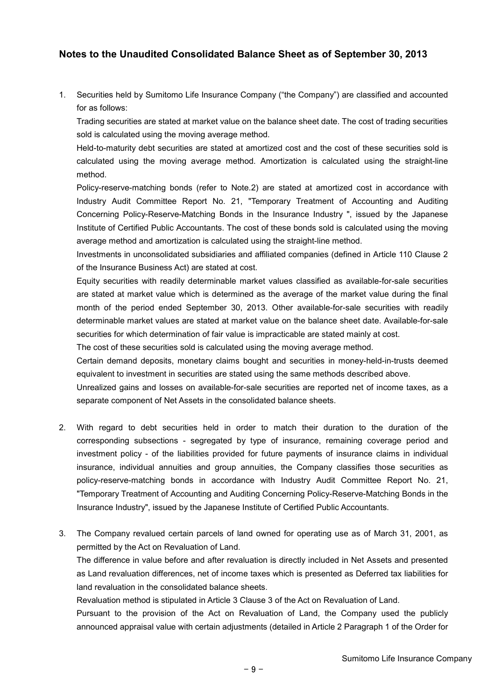### **Notes to the Unaudited Consolidated Balance Sheet as of September 30, 2013**

1. Securities held by Sumitomo Life Insurance Company ("the Company") are classified and accounted for as follows:

Trading securities are stated at market value on the balance sheet date. The cost of trading securities sold is calculated using the moving average method.

Held-to-maturity debt securities are stated at amortized cost and the cost of these securities sold is calculated using the moving average method. Amortization is calculated using the straight-line method.

Policy-reserve-matching bonds (refer to Note.2) are stated at amortized cost in accordance with Industry Audit Committee Report No. 21, "Temporary Treatment of Accounting and Auditing Concerning Policy-Reserve-Matching Bonds in the Insurance Industry ", issued by the Japanese Institute of Certified Public Accountants. The cost of these bonds sold is calculated using the moving average method and amortization is calculated using the straight-line method.

Investments in unconsolidated subsidiaries and affiliated companies (defined in Article 110 Clause 2 of the Insurance Business Act) are stated at cost.

Equity securities with readily determinable market values classified as available-for-sale securities are stated at market value which is determined as the average of the market value during the final month of the period ended September 30, 2013. Other available-for-sale securities with readily determinable market values are stated at market value on the balance sheet date. Available-for-sale securities for which determination of fair value is impracticable are stated mainly at cost.

The cost of these securities sold is calculated using the moving average method.

Certain demand deposits, monetary claims bought and securities in money-held-in-trusts deemed equivalent to investment in securities are stated using the same methods described above.

Unrealized gains and losses on available-for-sale securities are reported net of income taxes, as a separate component of Net Assets in the consolidated balance sheets.

- 2. With regard to debt securities held in order to match their duration to the duration of the corresponding subsections - segregated by type of insurance, remaining coverage period and investment policy - of the liabilities provided for future payments of insurance claims in individual insurance, individual annuities and group annuities, the Company classifies those securities as policy-reserve-matching bonds in accordance with Industry Audit Committee Report No. 21, "Temporary Treatment of Accounting and Auditing Concerning Policy-Reserve-Matching Bonds in the Insurance Industry", issued by the Japanese Institute of Certified Public Accountants.
- 3. The Company revalued certain parcels of land owned for operating use as of March 31, 2001, as permitted by the Act on Revaluation of Land. The difference in value before and after revaluation is directly included in Net Assets and presented

as Land revaluation differences, net of income taxes which is presented as Deferred tax liabilities for land revaluation in the consolidated balance sheets.

Revaluation method is stipulated in Article 3 Clause 3 of the Act on Revaluation of Land.

Pursuant to the provision of the Act on Revaluation of Land, the Company used the publicly announced appraisal value with certain adjustments (detailed in Article 2 Paragraph 1 of the Order for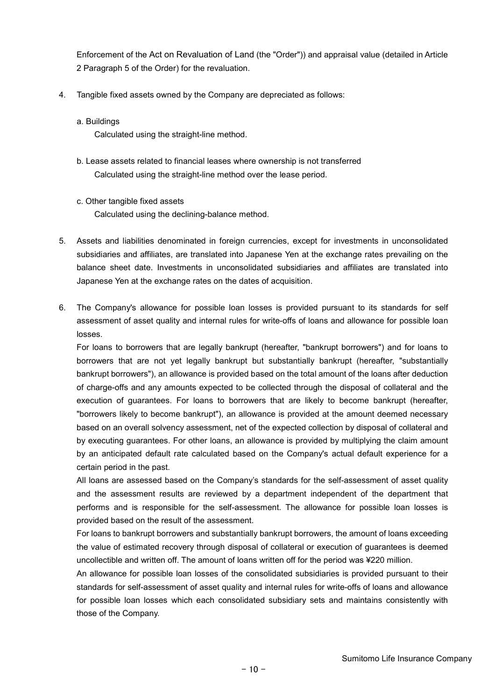Enforcement of the Act on Revaluation of Land (the "Order")) and appraisal value (detailed in Article 2 Paragraph 5 of the Order) for the revaluation.

- 4. Tangible fixed assets owned by the Company are depreciated as follows:
	- a. Buildings

Calculated using the straight-line method.

- b. Lease assets related to financial leases where ownership is not transferred Calculated using the straight-line method over the lease period.
- c. Other tangible fixed assets Calculated using the declining-balance method.
- 5. Assets and liabilities denominated in foreign currencies, except for investments in unconsolidated subsidiaries and affiliates, are translated into Japanese Yen at the exchange rates prevailing on the balance sheet date. Investments in unconsolidated subsidiaries and affiliates are translated into Japanese Yen at the exchange rates on the dates of acquisition.
- 6. The Company's allowance for possible loan losses is provided pursuant to its standards for self assessment of asset quality and internal rules for write-offs of loans and allowance for possible loan losses.

For loans to borrowers that are legally bankrupt (hereafter, "bankrupt borrowers") and for loans to borrowers that are not yet legally bankrupt but substantially bankrupt (hereafter, "substantially bankrupt borrowers"), an allowance is provided based on the total amount of the loans after deduction of charge-offs and any amounts expected to be collected through the disposal of collateral and the execution of guarantees. For loans to borrowers that are likely to become bankrupt (hereafter, "borrowers likely to become bankrupt"), an allowance is provided at the amount deemed necessary based on an overall solvency assessment, net of the expected collection by disposal of collateral and by executing guarantees. For other loans, an allowance is provided by multiplying the claim amount by an anticipated default rate calculated based on the Company's actual default experience for a certain period in the past.

All loans are assessed based on the Company's standards for the self-assessment of asset quality and the assessment results are reviewed by a department independent of the department that performs and is responsible for the self-assessment. The allowance for possible loan losses is provided based on the result of the assessment.

For loans to bankrupt borrowers and substantially bankrupt borrowers, the amount of loans exceeding the value of estimated recovery through disposal of collateral or execution of guarantees is deemed uncollectible and written off. The amount of loans written off for the period was ¥220 million.

An allowance for possible loan losses of the consolidated subsidiaries is provided pursuant to their standards for self-assessment of asset quality and internal rules for write-offs of loans and allowance for possible loan losses which each consolidated subsidiary sets and maintains consistently with those of the Company.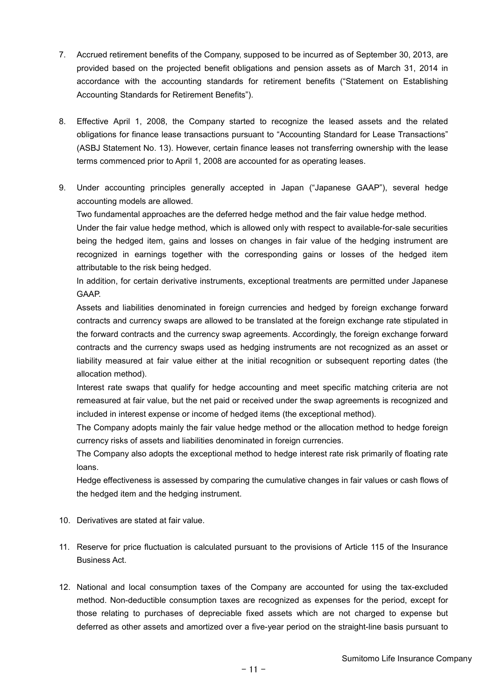- 7. Accrued retirement benefits of the Company, supposed to be incurred as of September 30, 2013, are provided based on the projected benefit obligations and pension assets as of March 31, 2014 in accordance with the accounting standards for retirement benefits ("Statement on Establishing Accounting Standards for Retirement Benefits").
- 8. Effective April 1, 2008, the Company started to recognize the leased assets and the related obligations for finance lease transactions pursuant to "Accounting Standard for Lease Transactions" (ASBJ Statement No. 13). However, certain finance leases not transferring ownership with the lease terms commenced prior to April 1, 2008 are accounted for as operating leases.
- 9. Under accounting principles generally accepted in Japan ("Japanese GAAP"), several hedge accounting models are allowed.

Two fundamental approaches are the deferred hedge method and the fair value hedge method.

Under the fair value hedge method, which is allowed only with respect to available-for-sale securities being the hedged item, gains and losses on changes in fair value of the hedging instrument are recognized in earnings together with the corresponding gains or losses of the hedged item attributable to the risk being hedged.

In addition, for certain derivative instruments, exceptional treatments are permitted under Japanese GAAP.

Assets and liabilities denominated in foreign currencies and hedged by foreign exchange forward contracts and currency swaps are allowed to be translated at the foreign exchange rate stipulated in the forward contracts and the currency swap agreements. Accordingly, the foreign exchange forward contracts and the currency swaps used as hedging instruments are not recognized as an asset or liability measured at fair value either at the initial recognition or subsequent reporting dates (the allocation method).

Interest rate swaps that qualify for hedge accounting and meet specific matching criteria are not remeasured at fair value, but the net paid or received under the swap agreements is recognized and included in interest expense or income of hedged items (the exceptional method).

The Company adopts mainly the fair value hedge method or the allocation method to hedge foreign currency risks of assets and liabilities denominated in foreign currencies.

The Company also adopts the exceptional method to hedge interest rate risk primarily of floating rate loans.

Hedge effectiveness is assessed by comparing the cumulative changes in fair values or cash flows of the hedged item and the hedging instrument.

- 10. Derivatives are stated at fair value.
- 11. Reserve for price fluctuation is calculated pursuant to the provisions of Article 115 of the Insurance Business Act.
- 12. National and local consumption taxes of the Company are accounted for using the tax-excluded method. Non-deductible consumption taxes are recognized as expenses for the period, except for those relating to purchases of depreciable fixed assets which are not charged to expense but deferred as other assets and amortized over a five-year period on the straight-line basis pursuant to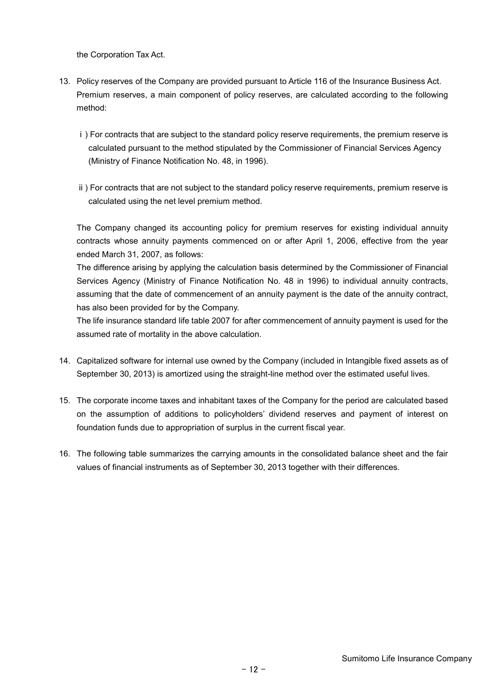the Corporation Tax Act.

- 13. Policy reserves of the Company are provided pursuant to Article 116 of the Insurance Business Act. Premium reserves, a main component of policy reserves, are calculated according to the following method:
	- ⅰ) For contracts that are subject to the standard policy reserve requirements, the premium reserve is calculated pursuant to the method stipulated by the Commissioner of Financial Services Agency (Ministry of Finance Notification No. 48, in 1996).
	- ⅱ) For contracts that are not subject to the standard policy reserve requirements, premium reserve is calculated using the net level premium method.

The Company changed its accounting policy for premium reserves for existing individual annuity contracts whose annuity payments commenced on or after April 1, 2006, effective from the year ended March 31, 2007, as follows:

The difference arising by applying the calculation basis determined by the Commissioner of Financial Services Agency (Ministry of Finance Notification No. 48 in 1996) to individual annuity contracts, assuming that the date of commencement of an annuity payment is the date of the annuity contract, has also been provided for by the Company.

The life insurance standard life table 2007 for after commencement of annuity payment is used for the assumed rate of mortality in the above calculation.

- 14. Capitalized software for internal use owned by the Company (included in Intangible fixed assets as of September 30, 2013) is amortized using the straight-line method over the estimated useful lives.
- 15. The corporate income taxes and inhabitant taxes of the Company for the period are calculated based on the assumption of additions to policyholders' dividend reserves and payment of interest on foundation funds due to appropriation of surplus in the current fiscal year.
- 16. The following table summarizes the carrying amounts in the consolidated balance sheet and the fair values of financial instruments as of September 30, 2013 together with their differences.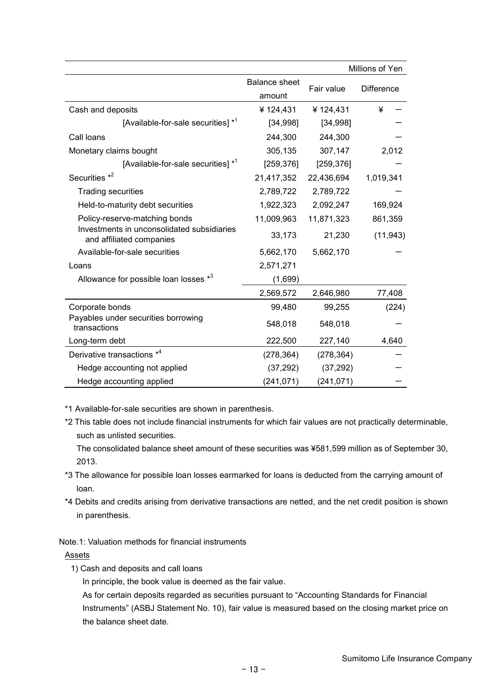|                                                                        |                                |            | Millions of Yen   |
|------------------------------------------------------------------------|--------------------------------|------------|-------------------|
|                                                                        | <b>Balance sheet</b><br>amount | Fair value | <b>Difference</b> |
| Cash and deposits                                                      | ¥124,431                       | ¥124,431   | ¥                 |
| [Available-for-sale securities] * <sup>1</sup>                         | [34,998]                       | [34,998]   |                   |
| Call loans                                                             | 244,300                        | 244,300    |                   |
| Monetary claims bought                                                 | 305,135                        | 307,147    | 2,012             |
| [Available-for-sale securities] * <sup>1</sup>                         | [259, 376]                     | [259, 376] |                   |
| Securities * <sup>2</sup>                                              | 21,417,352                     | 22,436,694 | 1,019,341         |
| <b>Trading securities</b>                                              | 2,789,722                      | 2,789,722  |                   |
| Held-to-maturity debt securities                                       | 1,922,323                      | 2,092,247  | 169,924           |
| Policy-reserve-matching bonds                                          | 11,009,963                     | 11,871,323 | 861,359           |
| Investments in unconsolidated subsidiaries<br>and affiliated companies | 33,173                         | 21,230     | (11, 943)         |
| Available-for-sale securities                                          | 5,662,170                      | 5,662,170  |                   |
| Loans                                                                  | 2,571,271                      |            |                   |
| Allowance for possible loan losses *3                                  | (1,699)                        |            |                   |
|                                                                        | 2,569,572                      | 2,646,980  | 77,408            |
| Corporate bonds                                                        | 99,480                         | 99,255     | (224)             |
| Payables under securities borrowing<br>transactions                    | 548,018                        | 548,018    |                   |
| Long-term debt                                                         | 222,500                        | 227,140    | 4,640             |
| Derivative transactions *4                                             | (278, 364)                     | (278, 364) |                   |
| Hedge accounting not applied                                           | (37, 292)                      | (37, 292)  |                   |
| Hedge accounting applied                                               | (241, 071)                     | (241, 071) |                   |

\*1 Available-for-sale securities are shown in parenthesis.

\*2 This table does not include financial instruments for which fair values are not practically determinable, such as unlisted securities.

The consolidated balance sheet amount of these securities was ¥581,599 million as of September 30, 2013.

- \*3 The allowance for possible loan losses earmarked for loans is deducted from the carrying amount of loan.
- \*4 Debits and credits arising from derivative transactions are netted, and the net credit position is shown in parenthesis.

Note.1: Valuation methods for financial instruments

#### **Assets**

1) Cash and deposits and call loans

In principle, the book value is deemed as the fair value.

As for certain deposits regarded as securities pursuant to "Accounting Standards for Financial Instruments" (ASBJ Statement No. 10), fair value is measured based on the closing market price on the balance sheet date.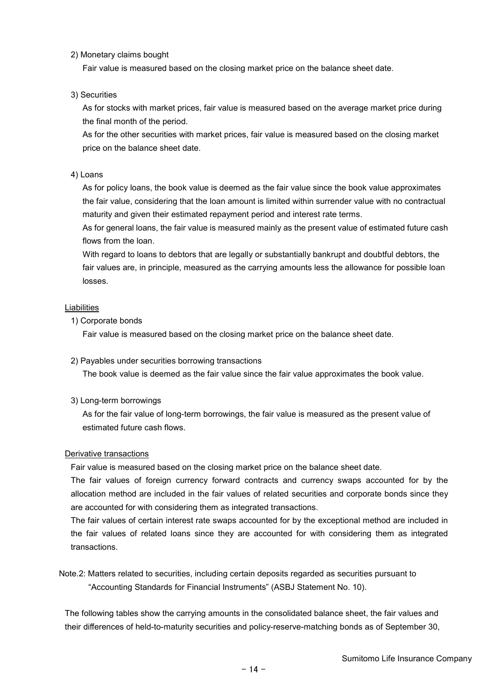2) Monetary claims bought

Fair value is measured based on the closing market price on the balance sheet date.

3) Securities

As for stocks with market prices, fair value is measured based on the average market price during the final month of the period.

As for the other securities with market prices, fair value is measured based on the closing market price on the balance sheet date.

#### 4) Loans

As for policy loans, the book value is deemed as the fair value since the book value approximates the fair value, considering that the loan amount is limited within surrender value with no contractual maturity and given their estimated repayment period and interest rate terms.

As for general loans, the fair value is measured mainly as the present value of estimated future cash flows from the loan.

With regard to loans to debtors that are legally or substantially bankrupt and doubtful debtors, the fair values are, in principle, measured as the carrying amounts less the allowance for possible loan losses.

#### Liabilities

1) Corporate bonds

Fair value is measured based on the closing market price on the balance sheet date.

2) Payables under securities borrowing transactions

The book value is deemed as the fair value since the fair value approximates the book value.

3) Long-term borrowings

As for the fair value of long-term borrowings, the fair value is measured as the present value of estimated future cash flows.

#### Derivative transactions

Fair value is measured based on the closing market price on the balance sheet date.

The fair values of foreign currency forward contracts and currency swaps accounted for by the allocation method are included in the fair values of related securities and corporate bonds since they are accounted for with considering them as integrated transactions.

The fair values of certain interest rate swaps accounted for by the exceptional method are included in the fair values of related loans since they are accounted for with considering them as integrated transactions.

Note.2: Matters related to securities, including certain deposits regarded as securities pursuant to "Accounting Standards for Financial Instruments" (ASBJ Statement No. 10).

The following tables show the carrying amounts in the consolidated balance sheet, the fair values and their differences of held-to-maturity securities and policy-reserve-matching bonds as of September 30,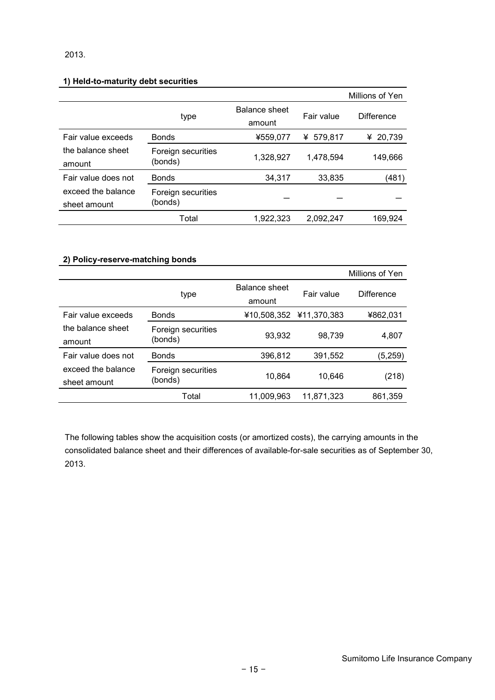#### 2013.

### **1) Held-to-maturity debt securities**

|                                    |                               |                         |            | Millions of Yen   |
|------------------------------------|-------------------------------|-------------------------|------------|-------------------|
|                                    | type                          | Balance sheet<br>amount | Fair value | <b>Difference</b> |
| Fair value exceeds                 | <b>Bonds</b>                  | ¥559,077                | ¥ 579,817  | 20,739<br>¥       |
| the balance sheet<br>amount        | Foreign securities<br>(bonds) | 1,328,927               | 1,478,594  | 149,666           |
| Fair value does not                | <b>Bonds</b>                  | 34,317                  | 33,835     | (481)             |
| exceed the balance<br>sheet amount | Foreign securities<br>(bonds) |                         |            |                   |
|                                    | Total                         | 1,922,323               | 2,092,247  | 169.924           |

### **2) Policy-reserve-matching bonds**

|                                    |                               |                                |                         | Millions of Yen |
|------------------------------------|-------------------------------|--------------------------------|-------------------------|-----------------|
|                                    | type                          | <b>Balance sheet</b><br>amount | Fair value              | Difference      |
| Fair value exceeds                 | <b>Bonds</b>                  |                                | ¥10,508,352 ¥11,370,383 | ¥862,031        |
| the balance sheet<br>amount        | Foreign securities<br>(bonds) | 93,932                         | 98,739                  | 4,807           |
| Fair value does not                | <b>Bonds</b>                  | 396,812                        | 391,552                 | (5,259)         |
| exceed the balance<br>sheet amount | Foreign securities<br>(bonds) | 10.864                         | 10.646                  | (218)           |
|                                    | Total                         | 11,009,963                     | 11,871,323              | 861,359         |

The following tables show the acquisition costs (or amortized costs), the carrying amounts in the consolidated balance sheet and their differences of available-for-sale securities as of September 30, 2013.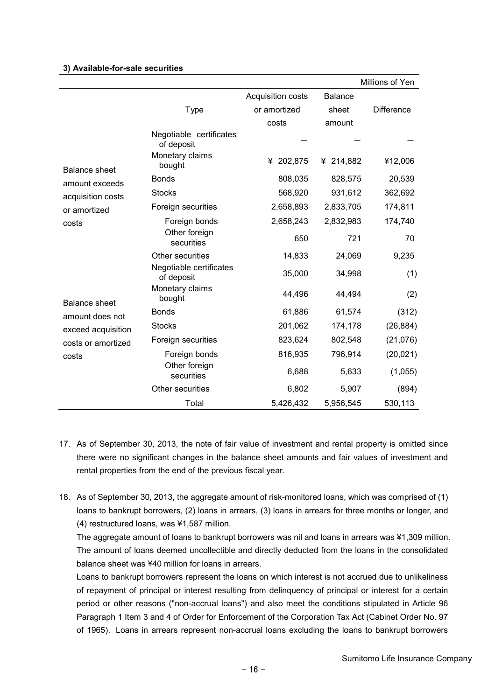#### **3) Available-for-sale securities**

|                      |                                       |                   |                | Millions of Yen   |
|----------------------|---------------------------------------|-------------------|----------------|-------------------|
|                      |                                       | Acquisition costs | <b>Balance</b> |                   |
|                      | <b>Type</b>                           | or amortized      | sheet          | <b>Difference</b> |
|                      |                                       | costs             | amount         |                   |
|                      | Negotiable certificates<br>of deposit |                   |                |                   |
| <b>Balance sheet</b> | Monetary claims<br>bought             | ¥ 202,875         | ¥ 214,882      | ¥12,006           |
| amount exceeds       | <b>Bonds</b>                          | 808,035           | 828,575        | 20,539            |
| acquisition costs    | <b>Stocks</b>                         | 568,920           | 931,612        | 362,692           |
| or amortized         | Foreign securities                    | 2,658,893         | 2,833,705      | 174,811           |
| costs                | Foreign bonds                         | 2,658,243         | 2,832,983      | 174,740           |
|                      | Other foreign<br>securities           | 650               | 721            | 70                |
|                      | Other securities                      | 14,833            | 24,069         | 9,235             |
|                      | Negotiable certificates<br>of deposit | 35,000            | 34,998         | (1)               |
| <b>Balance sheet</b> | Monetary claims<br>bought             | 44,496            | 44,494         | (2)               |
| amount does not      | <b>Bonds</b>                          | 61,886            | 61,574         | (312)             |
| exceed acquisition   | <b>Stocks</b>                         | 201,062           | 174,178        | (26, 884)         |
| costs or amortized   | Foreign securities                    | 823,624           | 802,548        | (21,076)          |
| costs                | Foreign bonds                         | 816,935           | 796,914        | (20, 021)         |
|                      | Other foreign<br>securities           | 6,688             | 5,633          | (1,055)           |
|                      | Other securities                      | 6,802             | 5,907          | (894)             |
|                      | Total                                 | 5,426,432         | 5,956,545      | 530,113           |

- 17. As of September 30, 2013, the note of fair value of investment and rental property is omitted since there were no significant changes in the balance sheet amounts and fair values of investment and rental properties from the end of the previous fiscal year.
- 18. As of September 30, 2013, the aggregate amount of risk-monitored loans, which was comprised of (1) loans to bankrupt borrowers, (2) loans in arrears, (3) loans in arrears for three months or longer, and (4) restructured loans, was ¥1,587 million.

The aggregate amount of loans to bankrupt borrowers was nil and loans in arrears was ¥1,309 million. The amount of loans deemed uncollectible and directly deducted from the loans in the consolidated balance sheet was ¥40 million for loans in arrears.

Loans to bankrupt borrowers represent the loans on which interest is not accrued due to unlikeliness of repayment of principal or interest resulting from delinquency of principal or interest for a certain period or other reasons ("non-accrual loans") and also meet the conditions stipulated in Article 96 Paragraph 1 Item 3 and 4 of Order for Enforcement of the Corporation Tax Act (Cabinet Order No. 97 of 1965). Loans in arrears represent non-accrual loans excluding the loans to bankrupt borrowers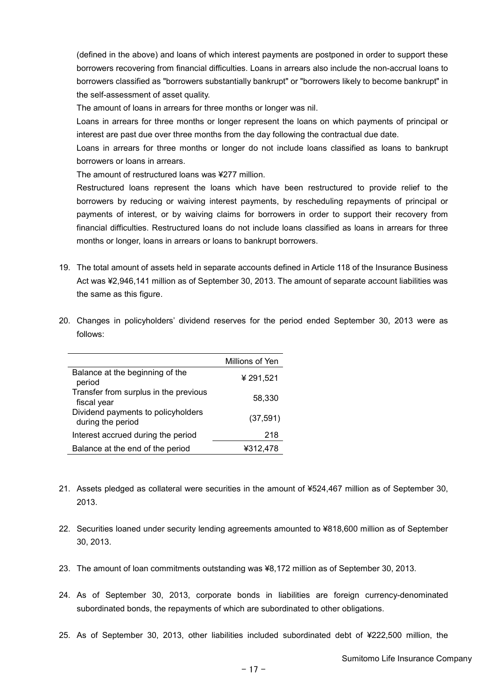(defined in the above) and loans of which interest payments are postponed in order to support these borrowers recovering from financial difficulties. Loans in arrears also include the non-accrual loans to borrowers classified as "borrowers substantially bankrupt" or "borrowers likely to become bankrupt" in the self-assessment of asset quality.

The amount of loans in arrears for three months or longer was nil.

Loans in arrears for three months or longer represent the loans on which payments of principal or interest are past due over three months from the day following the contractual due date.

Loans in arrears for three months or longer do not include loans classified as loans to bankrupt borrowers or loans in arrears.

The amount of restructured loans was ¥277 million.

Restructured loans represent the loans which have been restructured to provide relief to the borrowers by reducing or waiving interest payments, by rescheduling repayments of principal or payments of interest, or by waiving claims for borrowers in order to support their recovery from financial difficulties. Restructured loans do not include loans classified as loans in arrears for three months or longer, loans in arrears or loans to bankrupt borrowers.

- 19. The total amount of assets held in separate accounts defined in Article 118 of the Insurance Business Act was ¥2,946,141 million as of September 30, 2013. The amount of separate account liabilities was the same as this figure.
- 20. Changes in policyholders' dividend reserves for the period ended September 30, 2013 were as follows:

|                                                         | Millions of Yen |
|---------------------------------------------------------|-----------------|
| Balance at the beginning of the<br>period               | ¥ 291,521       |
| Transfer from surplus in the previous<br>fiscal year    | 58,330          |
| Dividend payments to policyholders<br>during the period | (37, 591)       |
| Interest accrued during the period                      | 218             |
| Balance at the end of the period                        | ¥312.478        |

- 21. Assets pledged as collateral were securities in the amount of ¥524,467 million as of September 30, 2013.
- 22. Securities loaned under security lending agreements amounted to ¥818,600 million as of September 30, 2013.
- 23. The amount of loan commitments outstanding was ¥8,172 million as of September 30, 2013.
- 24. As of September 30, 2013, corporate bonds in liabilities are foreign currency-denominated subordinated bonds, the repayments of which are subordinated to other obligations.
- 25. As of September 30, 2013, other liabilities included subordinated debt of ¥222,500 million, the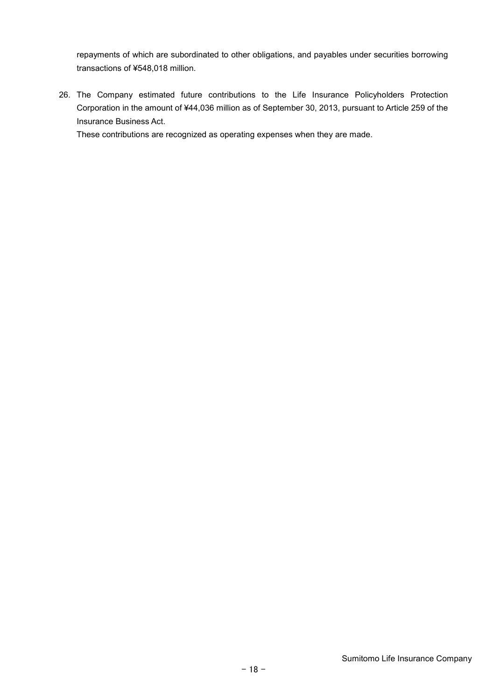repayments of which are subordinated to other obligations, and payables under securities borrowing transactions of ¥548,018 million.

26. The Company estimated future contributions to the Life Insurance Policyholders Protection Corporation in the amount of ¥44,036 million as of September 30, 2013, pursuant to Article 259 of the Insurance Business Act.

These contributions are recognized as operating expenses when they are made.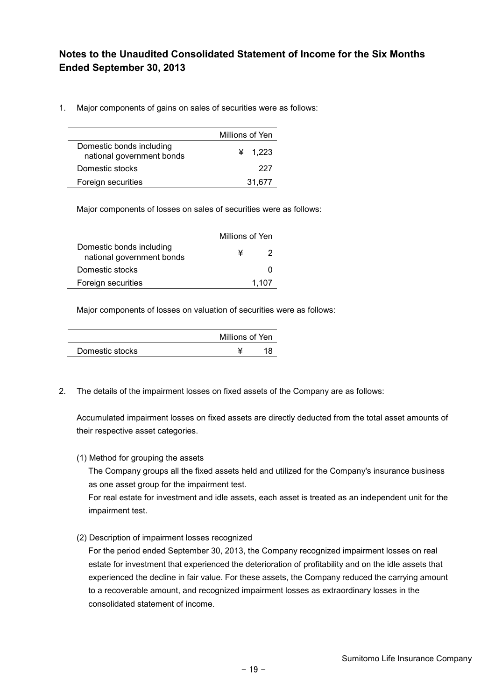### **Notes to the Unaudited Consolidated Statement of Income for the Six Months Ended September 30, 2013**

1. Major components of gains on sales of securities were as follows:

|                                                       | Millions of Yen |  |  |  |  |
|-------------------------------------------------------|-----------------|--|--|--|--|
| Domestic bonds including<br>national government bonds | ¥ $1.223$       |  |  |  |  |
| Domestic stocks                                       | 227             |  |  |  |  |
| Foreign securities                                    | 31.677          |  |  |  |  |

Major components of losses on sales of securities were as follows:

|                                                       | Millions of Yen |       |  |
|-------------------------------------------------------|-----------------|-------|--|
| Domestic bonds including<br>national government bonds |                 |       |  |
| Domestic stocks                                       |                 |       |  |
| Foreign securities                                    |                 | 1.107 |  |

Major components of losses on valuation of securities were as follows:

|                 | Millions of Yen |  |  |  |
|-----------------|-----------------|--|--|--|
| Domestic stocks |                 |  |  |  |

2. The details of the impairment losses on fixed assets of the Company are as follows:

Accumulated impairment losses on fixed assets are directly deducted from the total asset amounts of their respective asset categories.

(1) Method for grouping the assets

The Company groups all the fixed assets held and utilized for the Company's insurance business as one asset group for the impairment test.

For real estate for investment and idle assets, each asset is treated as an independent unit for the impairment test.

(2) Description of impairment losses recognized

For the period ended September 30, 2013, the Company recognized impairment losses on real estate for investment that experienced the deterioration of profitability and on the idle assets that experienced the decline in fair value. For these assets, the Company reduced the carrying amount to a recoverable amount, and recognized impairment losses as extraordinary losses in the consolidated statement of income.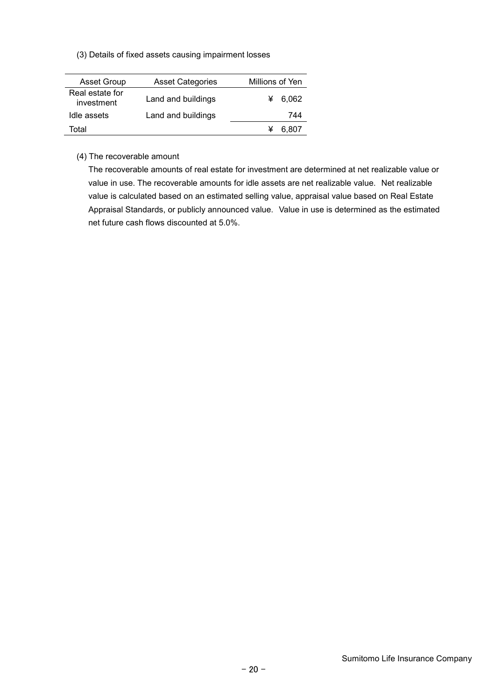(3) Details of fixed assets causing impairment losses

| <b>Asset Group</b>            | <b>Asset Categories</b> | Millions of Yen |
|-------------------------------|-------------------------|-----------------|
| Real estate for<br>investment | Land and buildings      | 6.062           |
| Idle assets                   | Land and buildings      | 744             |
| Total                         |                         | 6.807           |

(4) The recoverable amount

The recoverable amounts of real estate for investment are determined at net realizable value or value in use. The recoverable amounts for idle assets are net realizable value. Net realizable value is calculated based on an estimated selling value, appraisal value based on Real Estate Appraisal Standards, or publicly announced value. Value in use is determined as the estimated net future cash flows discounted at 5.0%.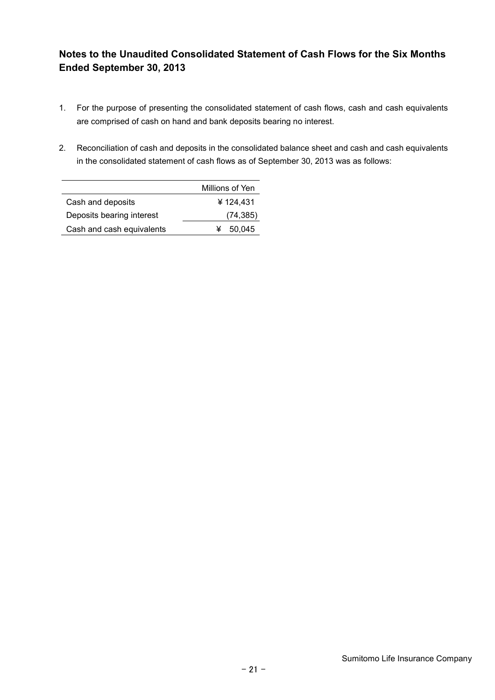### **Notes to the Unaudited Consolidated Statement of Cash Flows for the Six Months Ended September 30, 2013**

- 1. For the purpose of presenting the consolidated statement of cash flows, cash and cash equivalents are comprised of cash on hand and bank deposits bearing no interest.
- 2. Reconciliation of cash and deposits in the consolidated balance sheet and cash and cash equivalents in the consolidated statement of cash flows as of September 30, 2013 was as follows:

|                           | Millions of Yen |
|---------------------------|-----------------|
| Cash and deposits         | ¥124.431        |
| Deposits bearing interest | (74, 385)       |
| Cash and cash equivalents | 50.045          |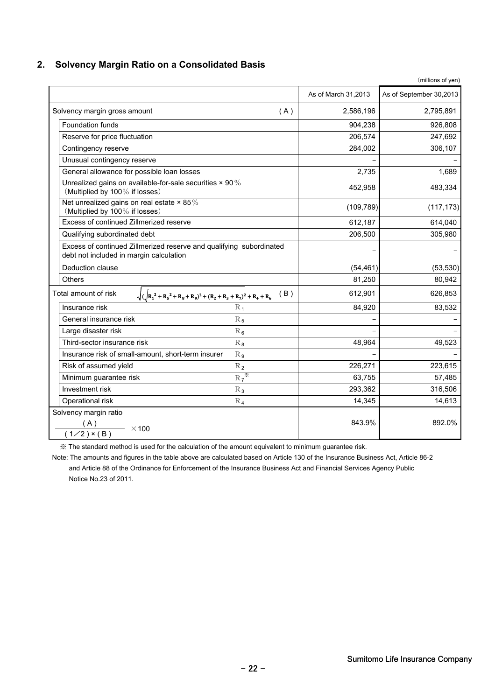### **2. Solvency Margin Ratio on a Consolidated Basis**

|                                                                                                                |                     | (millions of yen)       |
|----------------------------------------------------------------------------------------------------------------|---------------------|-------------------------|
|                                                                                                                | As of March 31,2013 | As of September 30,2013 |
| Solvency margin gross amount<br>(A)                                                                            | 2,586,196           | 2,795,891               |
| <b>Foundation funds</b>                                                                                        | 904,238             | 926,808                 |
| Reserve for price fluctuation                                                                                  | 206,574             | 247,692                 |
| Contingency reserve                                                                                            | 284,002             | 306,107                 |
| Unusual contingency reserve                                                                                    |                     |                         |
| General allowance for possible loan losses                                                                     | 2,735               | 1,689                   |
| Unrealized gains on available-for-sale securities $\times$ 90%<br>(Multiplied by 100% if losses)               | 452,958             | 483,334                 |
| Net unrealized gains on real estate $\times$ 85%<br>(Multiplied by 100% if losses)                             | (109, 789)          | (117, 173)              |
| Excess of continued Zillmerized reserve                                                                        | 612,187             | 614,040                 |
| Qualifying subordinated debt                                                                                   | 206,500             | 305,980                 |
| Excess of continued Zillmerized reserve and qualifying subordinated<br>debt not included in margin calculation |                     |                         |
| Deduction clause                                                                                               | (54, 461)           | (53, 530)               |
| <b>Others</b>                                                                                                  | 81,250              | 80,942                  |
| Total amount of risk<br>(B)<br>$\sqrt{(R_1^2+R_5^2+R_8+R_9)^2+(R_2+R_3+R_7)^2+R_4+R_6}$                        | 612,901             | 626,853                 |
| Insurance risk<br>$R_1$                                                                                        | 84,920              | 83,532                  |
| General insurance risk<br>$R_5$                                                                                |                     |                         |
| Large disaster risk<br>$R_6$                                                                                   |                     |                         |
| Third-sector insurance risk<br>$R_8$                                                                           | 48,964              | 49,523                  |
| Insurance risk of small-amount, short-term insurer<br>$R_{9}$                                                  |                     |                         |
| Risk of assumed yield<br>$R_2$                                                                                 | 226,271             | 223,615                 |
| $R_7^*$<br>Minimum guarantee risk                                                                              | 63,755              | 57,485                  |
| Investment risk<br>$R_3$                                                                                       | 293,362             | 316,506                 |
| Operational risk<br>$R_4$                                                                                      | 14,345              | 14,613                  |
| Solvency margin ratio                                                                                          | 843.9%              | 892.0%                  |
| $\frac{(n)}{(1/2) \times (B)}$ × 100                                                                           |                     |                         |

※ The standard method is used for the calculation of the amount equivalent to minimum guarantee risk.

 Note: The amounts and figures in the table above are calculated based on Article 130 of the Insurance Business Act, Article 86-2 and Article 88 of the Ordinance for Enforcement of the Insurance Business Act and Financial Services Agency Public Notice No.23 of 2011.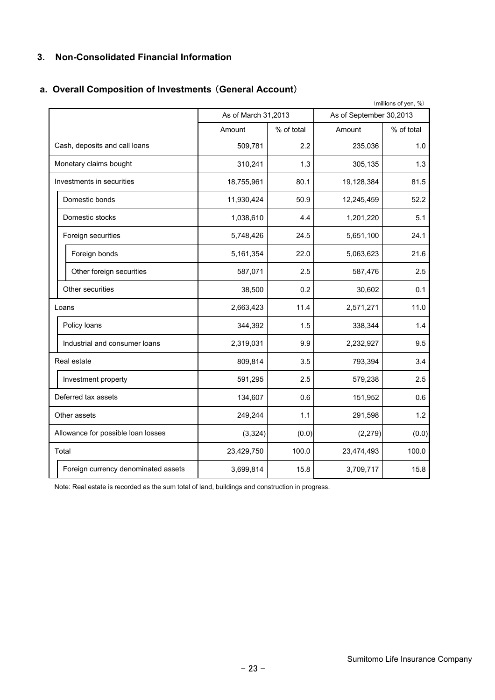### **3. Non-Consolidated Financial Information**

### **a. Overall Composition of Investments** (**General Account**)

| (millions of yen, %) |                                     |                     |            |                         |            |  |
|----------------------|-------------------------------------|---------------------|------------|-------------------------|------------|--|
|                      |                                     | As of March 31,2013 |            | As of September 30,2013 |            |  |
|                      |                                     | Amount              | % of total | Amount                  | % of total |  |
|                      | Cash, deposits and call loans       | 509,781             | 2.2        | 235,036                 | 1.0        |  |
|                      | Monetary claims bought              | 310,241             | 1.3        | 305,135                 | 1.3        |  |
|                      | Investments in securities           | 18,755,961          | 80.1       | 19,128,384              | 81.5       |  |
|                      | Domestic bonds                      | 11,930,424          | 50.9       | 12,245,459              | 52.2       |  |
|                      | Domestic stocks                     | 1,038,610           | 4.4        | 1,201,220               | 5.1        |  |
|                      | Foreign securities                  | 5,748,426           | 24.5       | 5,651,100               | 24.1       |  |
|                      | Foreign bonds                       | 5,161,354           | 22.0       | 5,063,623               | 21.6       |  |
|                      | Other foreign securities            | 587,071             | 2.5        | 587,476                 | 2.5        |  |
|                      | Other securities                    | 38,500              | 0.2        | 30,602                  | 0.1        |  |
|                      | Loans                               | 2,663,423           | 11.4       |                         | 11.0       |  |
|                      | Policy loans                        | 344,392             | 1.5        | 338,344                 | 1.4        |  |
|                      | Industrial and consumer loans       | 2,319,031           | 9.9        | 2,232,927               | 9.5        |  |
|                      | Real estate                         | 809,814             | 3.5        | 793,394                 | 3.4        |  |
|                      | Investment property                 | 591,295             | 2.5        | 579,238                 | 2.5        |  |
|                      | Deferred tax assets                 | 134,607             | 0.6        | 151,952                 | 0.6        |  |
|                      | Other assets                        | 249,244             | 1.1        | 291,598                 | 1.2        |  |
|                      | Allowance for possible loan losses  | (3, 324)            | (0.0)      | (2, 279)                | (0.0)      |  |
|                      | Total                               | 23,429,750          | 100.0      |                         | 100.0      |  |
|                      | Foreign currency denominated assets | 3,699,814           | 15.8       | 3,709,717               | 15.8       |  |

Note: Real estate is recorded as the sum total of land, buildings and construction in progress.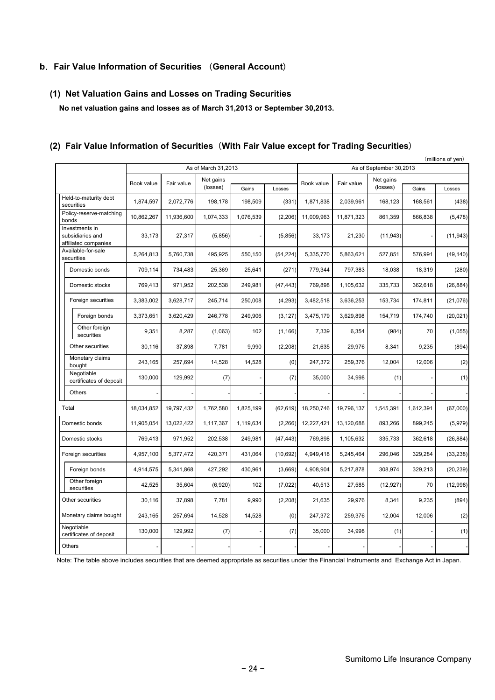#### **b**.**Fair Value Information of Securities** (**General Account**)

#### **(1) Net Valuation Gains and Losses on Trading Securities**

 **No net valuation gains and losses as of March 31,2013 or September 30,2013.**

#### (millions of yen) Gains | Losses | | | | | | | | | | | | | Gains | Losses 1,874,597 2,072,776 198,178 198,509 (331) 1,871,838 2,039,961 168,123 168,561 (438) 10,862,267 11,936,600 1,074,333 1,076,539 (2,206) 11,009,963 11,871,323 861,359 866,838 (5,478) 27,317 33,173 (5,856) - (5,856) 33,173 21,230 (11,943) - (11,943) 5,264,813 5,760,738 495,925 550,150 (54,224) 5,335,770 5,863,621 527,851 576,991 (49,140) 709,114 734,483 25,369 25,641 (271) 779,344 797,383 18,038 18,319 (280) 769,413 971,952 202,538 249,981 (47,443) 769,898 1,105,632 335,733 362,618 (26,884) 3,383,002 3,628,717 245,714 250,008 (4,293) 3,482,518 3,636,253 153,734 174,811 (21,076) Foreign bonds 3,373,651 3,620,429 246,778 249,906 (3,127) 3,475,179 3,629,898 154,719 174,740 (20,021) Other foreign securities | 9,351 8,287 (1,063) 102 (1,166) 7,339 6,354 (984) 70 (1,055) 30,116 37,898 7,781 9,990 (2,208) 21,635 29,976 8,341 9,235 (894) 243,165 257,694 14,528 14,528 (0) 247,372 259,376 12,004 12,006 (2) 129,992 130,000 (7) - (7) 35,000 34,998 (1) - (1) - - - - - - - - - - 18,034,852 19,797,432 1,762,580 1,825,199 (62,619) 18,250,746 19,796,137 1,545,391 1,612,391 (67,000) 11,905,054 13,022,422 1,117,367 1,119,634 (2,266) 12,227,421 13,120,688 893,266 899,245 (5,979) 769,413 971,952 202,538 249,981 (47,443) 769,898 1,105,632 335,733 362,618 (26,884) 4,957,100 | 5,377,472 | 420,371 | 431,064 | (10,692) | 4,949,418 | 5,245,464 | 296,046 | 329,284 | (33,238) 4,914,575 | 5,341,868 | 427,292 | 430,961 | (3,669) | 4,908,904 | 5,217,878 | 308,974 | 329,213 | (20,239) 42,525 35,604 (6,920) 102 (7,022) 40,513 27,585 (12,927) 70 (12,998) 30,116 37,898 7,781 9,990 (2,208) 21,635 29,976 8,341 9,235 (894) 243,165 257,694 14,528 14,528 (0) 247,372 259,376 12,004 12,006 (2) 129,992 130,000 (7) - (7) 35,000 34,998 (1) - (1) - - - - - - - - - - Monetary claims bought Negotiable certificates of deposit Domestic stocks **Others** Foreign bonds Other foreign securities Total Held-to-maturity debt securities Policy-reserve-matching bonds Investments in subsidiaries and affiliated companies Other securities Domestic bonds Domestic stocks Foreign securities Negotiable certificates of deposit Monetary claims bought Foreign securities Other securities Domestic bonds Book value **Others** Available-for-sale securities As of March 31,2013 As of September 30,2013 Fair value Net gains (losses) Net gains Net gains<br>(losses) Gains Losses Book value Fair value

#### **(2) Fair Value Information of Securities**(**With Fair Value except for Trading Securities**)

Note: The table above includes securities that are deemed appropriate as securities under the Financial Instruments and Exchange Act in Japan.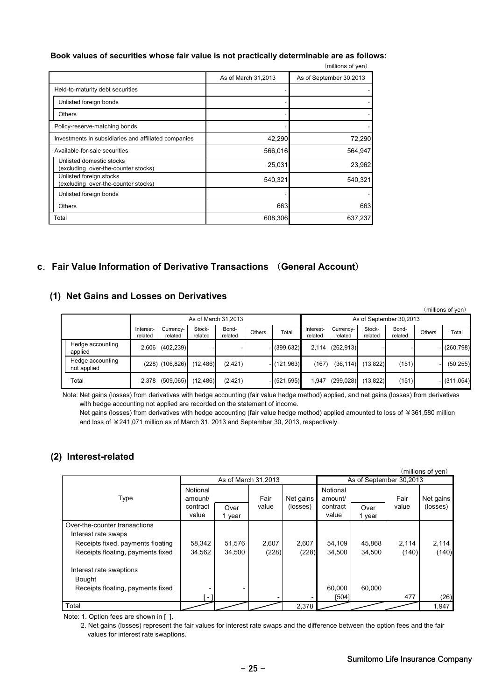#### **Book values of securities whose fair value is not practically determinable are as follows:**

|                                                                 |                     | (millions of yen)       |
|-----------------------------------------------------------------|---------------------|-------------------------|
|                                                                 | As of March 31,2013 | As of September 30,2013 |
| Held-to-maturity debt securities                                |                     |                         |
| Unlisted foreign bonds                                          |                     |                         |
| Others                                                          |                     |                         |
| Policy-reserve-matching bonds                                   |                     |                         |
| Investments in subsidiaries and affiliated companies            | 42,290              | 72,290                  |
| Available-for-sale securities                                   | 566,016             | 564,947                 |
| Unlisted domestic stocks<br>(excluding over-the-counter stocks) | 25,031              | 23,962                  |
| Unlisted foreign stocks<br>(excluding over-the-counter stocks)  | 540,321             | 540,321                 |
| Unlisted foreign bonds                                          |                     |                         |
| <b>Others</b>                                                   | 663                 | 663                     |
| Total                                                           | 608,306             | 637,237                 |

#### **c**.**Fair Value Information of Derivative Transactions** (**General Account**)

#### **(1) Net Gains and Losses on Derivatives**

|  |                                 |                      |                      |                         |                  |        |                |                      |                      |                   |                  |               | (millions of yen) |
|--|---------------------------------|----------------------|----------------------|-------------------------|------------------|--------|----------------|----------------------|----------------------|-------------------|------------------|---------------|-------------------|
|  | As of March 31.2013             |                      |                      | As of September 30,2013 |                  |        |                |                      |                      |                   |                  |               |                   |
|  |                                 | Interest-<br>related | Currency-<br>related | Stock-<br>related       | Bond-<br>related | Others | Total          | Interest-<br>related | Currency-<br>related | Stock-<br>related | Bond-<br>related | <b>Others</b> | Total             |
|  | Hedge accounting<br>applied     |                      | 2,606 (402,239)      |                         |                  |        | $-$ (399,632)  |                      | $2,114$ (262,913)    |                   |                  |               | $-$ (260,798)     |
|  | Hedge accounting<br>not applied |                      | $(228)$ $(106, 826)$ | (12, 486)               | (2, 421)         |        | $-$ (121.963)  | (167)                | (36, 114)            | (13, 822)         | (151)            |               | (50, 255)         |
|  | Total                           |                      | 2,378 (509,065)      | (12, 486)               | (2, 421)         |        | $- (521, 595)$ | 1.947                | (299, 028)           | (13, 822)         | (151)            |               | $-$ (311,054)     |

Note: Net gains (losses) from derivatives with hedge accounting (fair value hedge method) applied, and net gains (losses) from derivatives with hedge accounting not applied are recorded on the statement of income.

Net gains (losses) from derivatives with hedge accounting (fair value hedge method) applied amounted to loss of ¥361,580 million and loss of ¥241,071 million as of March 31, 2013 and September 30, 2013, respectively.

#### **(2) Interest-related**

|                                                      |                     |                     |       |           |                     |                         |       | (millions of yen) |
|------------------------------------------------------|---------------------|---------------------|-------|-----------|---------------------|-------------------------|-------|-------------------|
|                                                      |                     | As of March 31,2013 |       |           |                     | As of September 30,2013 |       |                   |
| Type                                                 | Notional<br>amount/ |                     | Fair  | Net gains | Notional<br>amount/ |                         | Fair  | Net gains         |
|                                                      | contract            | Over                | value | (losses)  | contract            | Over                    | value | (losses)          |
|                                                      | value               | 1 year              |       |           | value               | 1 year                  |       |                   |
| Over-the-counter transactions<br>Interest rate swaps |                     |                     |       |           |                     |                         |       |                   |
| Receipts fixed, payments floating                    | 58,342              | 51,576              | 2,607 | 2,607     | 54,109              | 45,868                  | 2,114 | 2,114             |
| Receipts floating, payments fixed                    | 34,562              | 34,500              | (228) | (228)     | 34,500              | 34,500                  | (140) | (140)             |
| Interest rate swaptions                              |                     |                     |       |           |                     |                         |       |                   |
| Bought                                               |                     |                     |       |           |                     |                         |       |                   |
| Receipts floating, payments fixed                    |                     |                     |       |           | 60.000              | 60.000                  |       |                   |
|                                                      | - 1                 |                     |       |           | [504]               |                         | 477   | (26)              |
| Total                                                |                     |                     |       | 2,378     |                     |                         |       | 1,947             |

Note: 1. Option fees are shown in [ ].

 2. Net gains (losses) represent the fair values for interest rate swaps and the difference between the option fees and the fair values for interest rate swaptions. values for interest rate swaptions.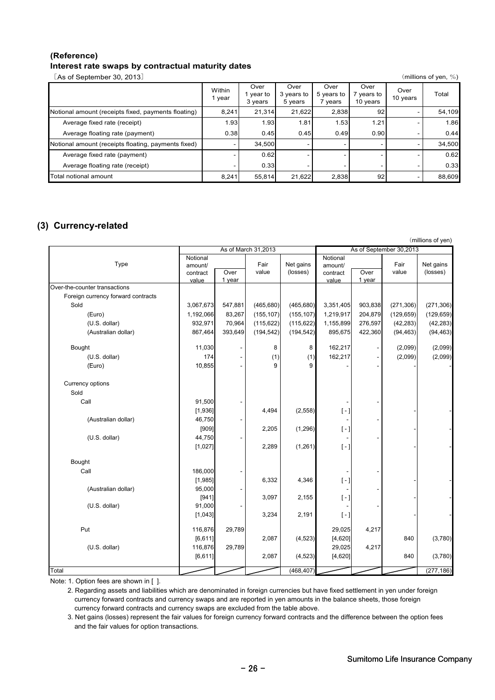#### **(Reference) Interest rate swaps by contractual maturity dates**

[As of September 30, 2013] (millions of yen, %)

|                                                     | Within<br>1 year | Over<br>year to<br>3 years | Over<br>3 years to<br>5 years | Over<br>5 years to<br>vears | Over<br>years to<br>10 years | Over<br>10 years | Total  |
|-----------------------------------------------------|------------------|----------------------------|-------------------------------|-----------------------------|------------------------------|------------------|--------|
| Notional amount (receipts fixed, payments floating) | 8.241            | 21.314                     | 21,622                        | 2,838                       | 92                           |                  | 54,109 |
| Average fixed rate (receipt)                        | 1.93             | 1.93                       | 1.81                          | 1.53                        | 1.21                         |                  | 1.86   |
| Average floating rate (payment)                     | 0.38             | 0.45                       | 0.45                          | 0.49                        | 0.90                         |                  | 0.44   |
| Notional amount (receipts floating, payments fixed) |                  | 34.500                     |                               |                             |                              |                  | 34,500 |
| Average fixed rate (payment)                        |                  | 0.62                       |                               |                             |                              |                  | 0.62   |
| Average floating rate (receipt)                     |                  | 0.33                       |                               |                             |                              |                  | 0.33   |
| Total notional amount                               | 8,241            | 55,814                     | 21.622                        | 2,838                       | 92                           |                  | 88,609 |

### **(3) Currency-related**

|                                    |                     |         |               |                       |                     |                         |            | (millions of yen) |  |
|------------------------------------|---------------------|---------|---------------|-----------------------|---------------------|-------------------------|------------|-------------------|--|
|                                    | As of March 31,2013 |         |               |                       |                     | As of September 30,2013 |            |                   |  |
| Type                               | Notional            |         |               |                       | Notional            |                         | Fair       | Net gains         |  |
|                                    | amount/<br>contract | Over    | Fair<br>value | Net gains<br>(losses) | amount/<br>contract | Over                    | value      | (losses)          |  |
|                                    | value               | 1 year  |               |                       | value               | 1 year                  |            |                   |  |
| Over-the-counter transactions      |                     |         |               |                       |                     |                         |            |                   |  |
| Foreign currency forward contracts |                     |         |               |                       |                     |                         |            |                   |  |
| Sold                               | 3,067,673           | 547,881 | (465, 680)    | (465, 680)            | 3,351,405           | 903,838                 | (271, 306) | (271, 306)        |  |
| (Euro)                             | 1,192,066           | 83,267  | (155, 107)    | (155, 107)            | 1,219,917           | 204,879                 | (129, 659) | (129, 659)        |  |
| (U.S. dollar)                      | 932,971             | 70,964  | (115, 622)    | (115, 622)            | 1,155,899           | 276,597                 | (42, 283)  | (42, 283)         |  |
| (Australian dollar)                | 867,464             | 393,649 | (194, 542)    | (194, 542)            | 895,675             | 422,360                 | (94, 463)  | (94, 463)         |  |
| Bought                             | 11,030              |         | 8             | 8                     | 162,217             |                         | (2,099)    | (2,099)           |  |
| (U.S. dollar)                      | 174                 |         | (1)           | (1)                   | 162,217             |                         | (2,099)    | (2,099)           |  |
| (Euro)                             | 10,855              |         | 9             | 9                     |                     |                         |            |                   |  |
| Currency options                   |                     |         |               |                       |                     |                         |            |                   |  |
| Sold                               |                     |         |               |                       |                     |                         |            |                   |  |
| Call                               | 91,500              |         |               |                       |                     |                         |            |                   |  |
|                                    | [1,936]             |         | 4,494         | (2, 558)              | $[-]$               |                         |            |                   |  |
| (Australian dollar)                | 46,750              |         |               |                       |                     |                         |            |                   |  |
|                                    | [909]               |         | 2,205         | (1, 296)              | $[-]$               |                         |            |                   |  |
| (U.S. dollar)                      | 44,750              |         |               |                       |                     |                         |            |                   |  |
|                                    | [1,027]             |         | 2,289         | (1,261)               | $[-]$               |                         |            |                   |  |
| Bought                             |                     |         |               |                       |                     |                         |            |                   |  |
| Call                               | 186,000             |         |               |                       |                     |                         |            |                   |  |
|                                    | [1,985]             |         | 6,332         | 4,346                 | $[-]$               |                         |            |                   |  |
| (Australian dollar)                | 95,000              |         |               |                       |                     |                         |            |                   |  |
|                                    | [941]               |         | 3,097         | 2,155                 | $[-]$               |                         |            |                   |  |
| (U.S. dollar)                      | 91,000              |         |               |                       |                     |                         |            |                   |  |
|                                    | [1,043]             |         | 3,234         | 2,191                 | $[-]$               |                         |            |                   |  |
| Put                                | 116,876             | 29,789  |               |                       | 29,025              | 4,217                   |            |                   |  |
|                                    | [6, 611]            |         | 2,087         | (4, 523)              | [4,620]             |                         | 840        | (3,780)           |  |
| (U.S. dollar)                      | 116,876             | 29,789  |               |                       | 29,025              | 4,217                   |            |                   |  |
|                                    | [6, 611]            |         | 2,087         | (4, 523)              | [4,620]             |                         | 840        | (3,780)           |  |
| Total                              |                     |         |               | (468, 407)            |                     |                         |            | (277, 186)        |  |

Note: 1. Option fees are shown in [ ].

 2. Regarding assets and liabilities which are denominated in foreign currencies but have fixed settlement in yen under foreign currency forward contracts and currency swaps and are reported in yen amounts in the balance sheets, those foreign currency forward contracts and currency swaps are excluded from the table above.

 3. Net gains (losses) represent the fair values for foreign currency forward contracts and the difference between the option fees and the fair values for option transactions.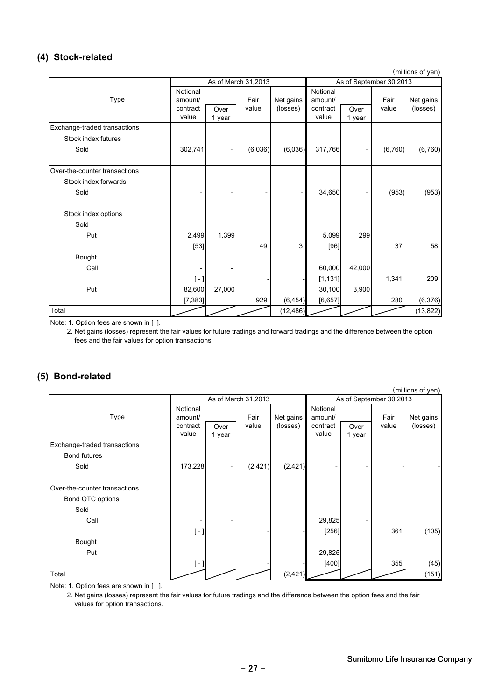### **(4) Stock-related**

(millions of yen)

|                               | As of March 31,2013                      |                |               | As of September 30,2013 |                                          |                          |               |                       |
|-------------------------------|------------------------------------------|----------------|---------------|-------------------------|------------------------------------------|--------------------------|---------------|-----------------------|
| Type                          | Notional<br>amount/<br>contract<br>value | Over<br>1 year | Fair<br>value | Net gains<br>(losses)   | Notional<br>amount/<br>contract<br>value | Over<br>1 year           | Fair<br>value | Net gains<br>(losses) |
| Exchange-traded transactions  |                                          |                |               |                         |                                          |                          |               |                       |
| Stock index futures           |                                          |                |               |                         |                                          |                          |               |                       |
| Sold                          | 302,741                                  |                | (6,036)       | (6,036)                 | 317,766                                  | $\overline{\phantom{0}}$ | (6, 760)      | (6, 760)              |
| Over-the-counter transactions |                                          |                |               |                         |                                          |                          |               |                       |
| Stock index forwards          |                                          |                |               |                         |                                          |                          |               |                       |
| Sold                          |                                          |                |               |                         | 34,650                                   | -                        | (953)         | (953)                 |
| Stock index options           |                                          |                |               |                         |                                          |                          |               |                       |
| Sold                          |                                          |                |               |                         |                                          |                          |               |                       |
| Put                           | 2,499                                    | 1,399          |               |                         | 5,099                                    | 299                      |               |                       |
|                               | $[53]$                                   |                | 49            | 3                       | $[96]$                                   |                          | 37            | 58                    |
| Bought                        |                                          |                |               |                         |                                          |                          |               |                       |
| Call                          |                                          |                |               |                         | 60,000                                   | 42,000                   |               |                       |
|                               | $[-]$                                    |                |               |                         | [1, 131]                                 |                          | 1,341         | 209                   |
| Put                           | 82,600                                   | 27,000         |               |                         | 30,100                                   | 3,900                    |               |                       |
|                               | [7, 383]                                 |                | 929           | (6, 454)                | [6, 657]                                 |                          | 280           | (6,376)               |
| Total                         |                                          |                |               | (12, 486)               |                                          |                          |               | (13, 822)             |

Note: 1. Option fees are shown in [ ].

 2. Net gains (losses) represent the fair values for future tradings and forward tradings and the difference between the option fees and the fair values for option transactions.

#### **(5) Bond-related**

|                               |                     |        |          |                         |          |                              |       | (millions of yen) |
|-------------------------------|---------------------|--------|----------|-------------------------|----------|------------------------------|-------|-------------------|
|                               | As of March 31,2013 |        |          | As of September 30,2013 |          |                              |       |                   |
|                               | Notional            |        |          |                         | Notional |                              |       |                   |
| Type                          | amount/             |        | Fair     | Net gains               | amount/  |                              | Fair  | Net gains         |
|                               | contract            | Over   | value    | (losses)                | contract | Over                         | value | (losses)          |
|                               | value               | 1 year |          |                         | value    | 1 year                       |       |                   |
| Exchange-traded transactions  |                     |        |          |                         |          |                              |       |                   |
| <b>Bond futures</b>           |                     |        |          |                         |          |                              |       |                   |
| Sold                          | 173,228             | -      | (2, 421) | (2, 421)                |          |                              |       |                   |
|                               |                     |        |          |                         |          |                              |       |                   |
| Over-the-counter transactions |                     |        |          |                         |          |                              |       |                   |
| Bond OTC options              |                     |        |          |                         |          |                              |       |                   |
| Sold                          |                     |        |          |                         |          |                              |       |                   |
| Call                          |                     | -      |          |                         | 29,825   | $\qquad \qquad \blacksquare$ |       |                   |
|                               | $[-]$               |        |          |                         | [256]    |                              | 361   | (105)             |
| Bought                        |                     |        |          |                         |          |                              |       |                   |
| Put                           |                     |        |          |                         | 29,825   |                              |       |                   |
|                               | [ - ]               |        |          |                         | $[400]$  |                              | 355   | (45)              |
| Total                         |                     |        |          | (2,421)                 |          |                              |       | (151)             |

Note: 1. Option fees are shown in [ ].

 2. Net gains (losses) represent the fair values for future tradings and the difference between the option fees and the fair values for option transactions.